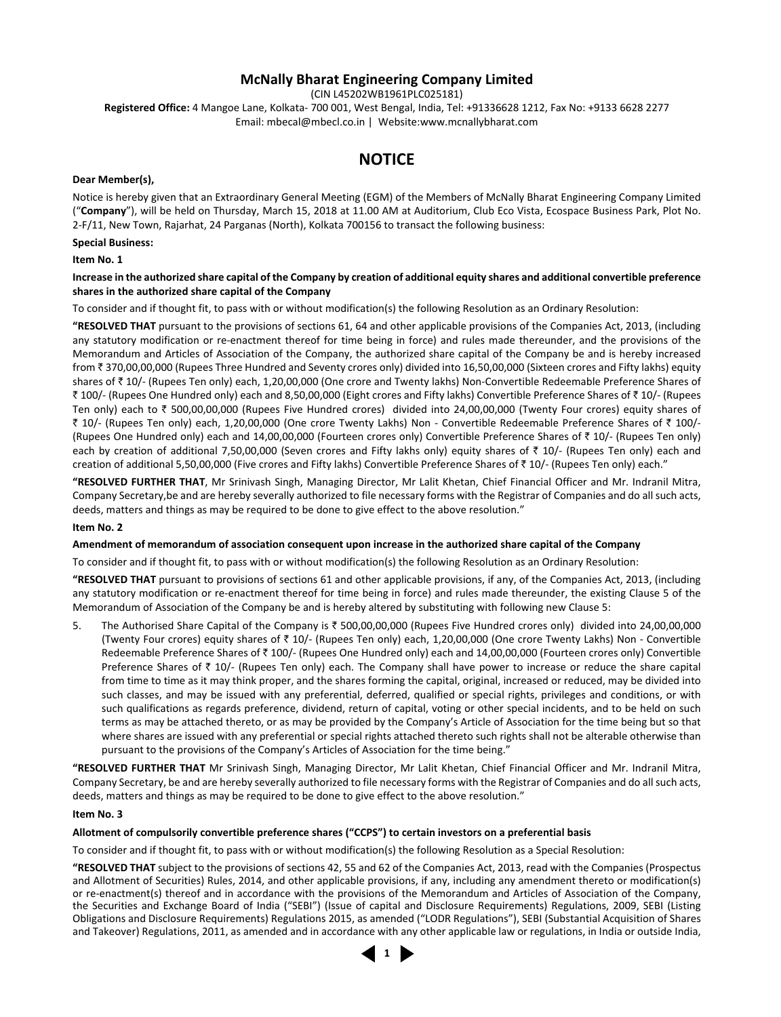## **McNally Bharat Engineering Company Limited**

(CIN L45202WB1961PLC025181)

**Registered Office:** 4 Mangoe Lane, Kolkata- 700 001, West Bengal, India, Tel: +91336628 1212, Fax No: +9133 6628 2277 Email: mbecal@mbecl.co.in | Website:www.mcnallybharat.com

## **NOTICE**

#### **Dear Member(s),**

Notice is hereby given that an Extraordinary General Meeting (EGM) of the Members of McNally Bharat Engineering Company Limited ("**Company**"), will be held on Thursday, March 15, 2018 at 11.00 AM at Auditorium, Club Eco Vista, Ecospace Business Park, Plot No. 2-F/11, New Town, Rajarhat, 24 Parganas (North), Kolkata 700156 to transact the following business:

#### **Special Business:**

#### **Item No. 1**

#### **Increase in the authorized share capital of the Company by creation of additional equity shares and additional convertible preference shares in the authorized share capital of the Company**

To consider and if thought fit, to pass with or without modification(s) the following Resolution as an Ordinary Resolution:

**"RESOLVED THAT** pursuant to the provisions of sections 61, 64 and other applicable provisions of the Companies Act, 2013, (including any statutory modification or re-enactment thereof for time being in force) and rules made thereunder, and the provisions of the Memorandum and Articles of Association of the Company, the authorized share capital of the Company be and is hereby increased from ₹370,00,00,000 (Rupees Three Hundred and Seventy crores only) divided into 16,50,00,000 (Sixteen crores and Fifty lakhs) equity shares of ₹10/- (Rupees Ten only) each, 1,20,00,000 (One crore and Twenty lakhs) Non-Convertible Redeemable Preference Shares of ₹ 100/- (Rupees One Hundred only) each and 8,50,00,000 (Eight crores and Fifty lakhs) Convertible Preference Shares of ₹ 10/- (Rupees Ten only) each to  $\bar{\tau}$  500,00,00,000 (Rupees Five Hundred crores) divided into 24,00,00,000 (Twenty Four crores) equity shares of ` 10/- (Rupees Ten only) each, 1,20,00,000 (One crore Twenty Lakhs) Non - Convertible Redeemable Preference Shares of ` 100/- (Rupees One Hundred only) each and 14,00,00,000 (Fourteen crores only) Convertible Preference Shares of  $\bar{\tau}$  10/- (Rupees Ten only) each by creation of additional 7,50,00,000 (Seven crores and Fifty lakhs only) equity shares of  $\bar{\tau}$  10/- (Rupees Ten only) each and creation of additional 5,50,00,000 (Five crores and Fifty lakhs) Convertible Preference Shares of ` 10/- (Rupees Ten only) each."

**"RESOLVED FURTHER THAT**, Mr Srinivash Singh, Managing Director, Mr Lalit Khetan, Chief Financial Officer and Mr. Indranil Mitra, Company Secretary,be and are hereby severally authorized to file necessary forms with the Registrar of Companies and do all such acts, deeds, matters and things as may be required to be done to give effect to the above resolution."

#### **Item No. 2**

#### **Amendment of memorandum of association consequent upon increase in the authorized share capital of the Company**

To consider and if thought fit, to pass with or without modification(s) the following Resolution as an Ordinary Resolution:

**"RESOLVED THAT** pursuant to provisions of sections 61 and other applicable provisions, if any, of the Companies Act, 2013, (including any statutory modification or re-enactment thereof for time being in force) and rules made thereunder, the existing Clause 5 of the Memorandum of Association of the Company be and is hereby altered by substituting with following new Clause 5:

5. The Authorised Share Capital of the Company is ₹ 500,00,00,000 (Rupees Five Hundred crores only) divided into 24,00,00,000 (Twenty Four crores) equity shares of  $\bar{\tau}$  10/- (Rupees Ten only) each, 1,20,00,000 (One crore Twenty Lakhs) Non - Convertible Redeemable Preference Shares of ₹100/- (Rupees One Hundred only) each and 14,00,00,000 (Fourteen crores only) Convertible Preference Shares of  $\bar{\tau}$  10/- (Rupees Ten only) each. The Company shall have power to increase or reduce the share capital from time to time as it may think proper, and the shares forming the capital, original, increased or reduced, may be divided into such classes, and may be issued with any preferential, deferred, qualified or special rights, privileges and conditions, or with such qualifications as regards preference, dividend, return of capital, voting or other special incidents, and to be held on such terms as may be attached thereto, or as may be provided by the Company's Article of Association for the time being but so that where shares are issued with any preferential or special rights attached thereto such rights shall not be alterable otherwise than pursuant to the provisions of the Company's Articles of Association for the time being."

**"RESOLVED FURTHER THAT** Mr Srinivash Singh, Managing Director, Mr Lalit Khetan, Chief Financial Officer and Mr. Indranil Mitra, Company Secretary, be and are hereby severally authorized to file necessary forms with the Registrar of Companies and do all such acts, deeds, matters and things as may be required to be done to give effect to the above resolution."

#### **Item No. 3**

#### **Allotment of compulsorily convertible preference shares ("CCPS") to certain investors on a preferential basis**

To consider and if thought fit, to pass with or without modification(s) the following Resolution as a Special Resolution:

**"RESOLVED THAT** subject to the provisions of sections 42, 55 and 62 of the Companies Act, 2013, read with the Companies (Prospectus and Allotment of Securities) Rules, 2014, and other applicable provisions, if any, including any amendment thereto or modification(s) or re-enactment(s) thereof and in accordance with the provisions of the Memorandum and Articles of Association of the Company, the Securities and Exchange Board of India ("SEBI") (Issue of capital and Disclosure Requirements) Regulations, 2009, SEBI (Listing Obligations and Disclosure Requirements) Regulations 2015, as amended ("LODR Regulations"), SEBI (Substantial Acquisition of Shares and Takeover) Regulations, 2011, as amended and in accordance with any other applicable law or regulations, in India or outside India,

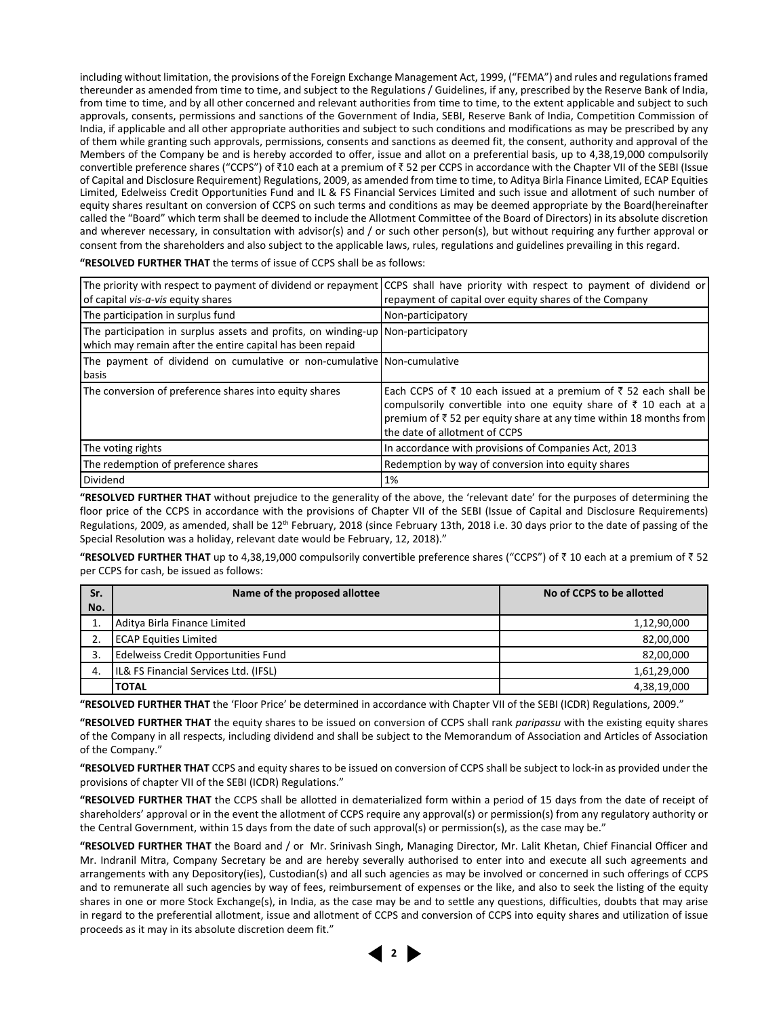including without limitation, the provisions of the Foreign Exchange Management Act, 1999, ("FEMA") and rules and regulations framed thereunder as amended from time to time, and subject to the Regulations / Guidelines, if any, prescribed by the Reserve Bank of India, from time to time, and by all other concerned and relevant authorities from time to time, to the extent applicable and subject to such approvals, consents, permissions and sanctions of the Government of India, SEBI, Reserve Bank of India, Competition Commission of India, if applicable and all other appropriate authorities and subject to such conditions and modifications as may be prescribed by any of them while granting such approvals, permissions, consents and sanctions as deemed fit, the consent, authority and approval of the Members of the Company be and is hereby accorded to offer, issue and allot on a preferential basis, up to 4,38,19,000 compulsorily convertible preference shares ("CCPS") of ₹10 each at a premium of ₹52 per CCPS in accordance with the Chapter VII of the SEBI (Issue of Capital and Disclosure Requirement) Regulations, 2009, as amended from time to time, to Aditya Birla Finance Limited, ECAP Equities Limited, Edelweiss Credit Opportunities Fund and IL & FS Financial Services Limited and such issue and allotment of such number of equity shares resultant on conversion of CCPS on such terms and conditions as may be deemed appropriate by the Board(hereinafter called the "Board" which term shall be deemed to include the Allotment Committee of the Board of Directors) in its absolute discretion and wherever necessary, in consultation with advisor(s) and / or such other person(s), but without requiring any further approval or consent from the shareholders and also subject to the applicable laws, rules, regulations and guidelines prevailing in this regard.

| of capital vis-a-vis equity shares                                                                                                            | The priority with respect to payment of dividend or repayment CCPS shall have priority with respect to payment of dividend or<br>repayment of capital over equity shares of the Company                                                    |
|-----------------------------------------------------------------------------------------------------------------------------------------------|--------------------------------------------------------------------------------------------------------------------------------------------------------------------------------------------------------------------------------------------|
| The participation in surplus fund                                                                                                             | Non-participatory                                                                                                                                                                                                                          |
| The participation in surplus assets and profits, on winding-up Non-participatory<br>which may remain after the entire capital has been repaid |                                                                                                                                                                                                                                            |
| The payment of dividend on cumulative or non-cumulative Non-cumulative<br>basis                                                               |                                                                                                                                                                                                                                            |
| The conversion of preference shares into equity shares                                                                                        | Each CCPS of ₹ 10 each issued at a premium of ₹ 52 each shall be<br>compulsorily convertible into one equity share of ₹ 10 each at a<br>premium of ₹52 per equity share at any time within 18 months from<br>the date of allotment of CCPS |
| The voting rights                                                                                                                             | In accordance with provisions of Companies Act, 2013                                                                                                                                                                                       |
| The redemption of preference shares                                                                                                           | Redemption by way of conversion into equity shares                                                                                                                                                                                         |
| Dividend                                                                                                                                      | 1%                                                                                                                                                                                                                                         |

**"RESOLVED FURTHER THAT** the terms of issue of CCPS shall be as follows:

**"RESOLVED FURTHER THAT** without prejudice to the generality of the above, the 'relevant date' for the purposes of determining the floor price of the CCPS in accordance with the provisions of Chapter VII of the SEBI (Issue of Capital and Disclosure Requirements) Regulations, 2009, as amended, shall be 12<sup>th</sup> February, 2018 (since February 13th, 2018 i.e. 30 days prior to the date of passing of the Special Resolution was a holiday, relevant date would be February, 12, 2018)."

"RESOLVED FURTHER THAT up to 4,38,19,000 compulsorily convertible preference shares ("CCPS") of ₹10 each at a premium of ₹52 per CCPS for cash, be issued as follows:

| Sr. | Name of the proposed allottee                                   | No of CCPS to be allotted |  |
|-----|-----------------------------------------------------------------|---------------------------|--|
| No. |                                                                 |                           |  |
|     | Aditya Birla Finance Limited                                    | 1,12,90,000               |  |
|     | <b>ECAP Equities Limited</b>                                    | 82,00,000                 |  |
|     | Edelweiss Credit Opportunities Fund                             | 82,00,000                 |  |
| 4.  | <b>IL&amp; FS Financial Services Ltd. (IFSL)</b><br>1,61,29,000 |                           |  |
|     | <b>TOTAL</b>                                                    | 4,38,19,000               |  |

**"RESOLVED FURTHER THAT** the 'Floor Price' be determined in accordance with Chapter VII of the SEBI (ICDR) Regulations, 2009."

**"RESOLVED FURTHER THAT** the equity shares to be issued on conversion of CCPS shall rank *paripassu* with the existing equity shares of the Company in all respects, including dividend and shall be subject to the Memorandum of Association and Articles of Association of the Company."

**"RESOLVED FURTHER THAT** CCPS and equity shares to be issued on conversion of CCPS shall be subject to lock-in as provided under the provisions of chapter VII of the SEBI (ICDR) Regulations."

**"RESOLVED FURTHER THAT** the CCPS shall be allotted in dematerialized form within a period of 15 days from the date of receipt of shareholders' approval or in the event the allotment of CCPS require any approval(s) or permission(s) from any regulatory authority or the Central Government, within 15 days from the date of such approval(s) or permission(s), as the case may be."

**"RESOLVED FURTHER THAT** the Board and / or Mr. Srinivash Singh, Managing Director, Mr. Lalit Khetan, Chief Financial Officer and Mr. Indranil Mitra, Company Secretary be and are hereby severally authorised to enter into and execute all such agreements and arrangements with any Depository(ies), Custodian(s) and all such agencies as may be involved or concerned in such offerings of CCPS and to remunerate all such agencies by way of fees, reimbursement of expenses or the like, and also to seek the listing of the equity shares in one or more Stock Exchange(s), in India, as the case may be and to settle any questions, difficulties, doubts that may arise in regard to the preferential allotment, issue and allotment of CCPS and conversion of CCPS into equity shares and utilization of issue proceeds as it may in its absolute discretion deem fit."

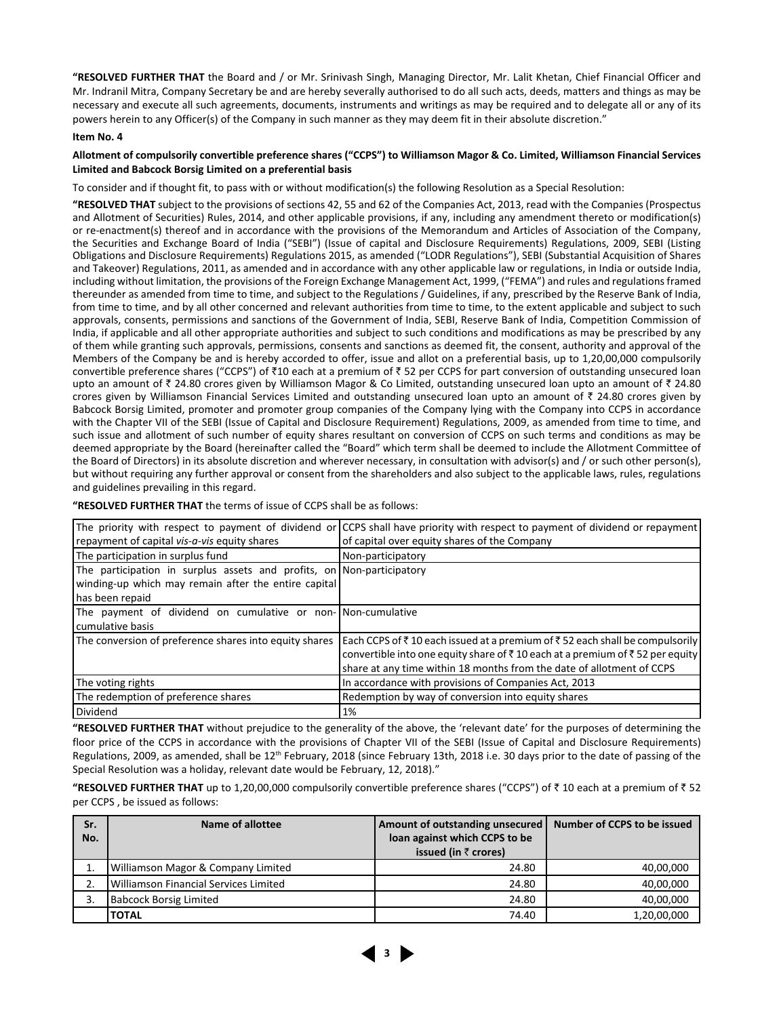**"RESOLVED FURTHER THAT** the Board and / or Mr. Srinivash Singh, Managing Director, Mr. Lalit Khetan, Chief Financial Officer and Mr. Indranil Mitra, Company Secretary be and are hereby severally authorised to do all such acts, deeds, matters and things as may be necessary and execute all such agreements, documents, instruments and writings as may be required and to delegate all or any of its powers herein to any Officer(s) of the Company in such manner as they may deem fit in their absolute discretion."

#### **Item No. 4**

#### **Allotment of compulsorily convertible preference shares ("CCPS") to Williamson Magor & Co. Limited, Williamson Financial Services Limited and Babcock Borsig Limited on a preferential basis**

To consider and if thought fit, to pass with or without modification(s) the following Resolution as a Special Resolution:

**"RESOLVED THAT** subject to the provisions of sections 42, 55 and 62 of the Companies Act, 2013, read with the Companies (Prospectus and Allotment of Securities) Rules, 2014, and other applicable provisions, if any, including any amendment thereto or modification(s) or re-enactment(s) thereof and in accordance with the provisions of the Memorandum and Articles of Association of the Company, the Securities and Exchange Board of India ("SEBI") (Issue of capital and Disclosure Requirements) Regulations, 2009, SEBI (Listing Obligations and Disclosure Requirements) Regulations 2015, as amended ("LODR Regulations"), SEBI (Substantial Acquisition of Shares and Takeover) Regulations, 2011, as amended and in accordance with any other applicable law or regulations, in India or outside India, including without limitation, the provisions of the Foreign Exchange Management Act, 1999, ("FEMA") and rules and regulations framed thereunder as amended from time to time, and subject to the Regulations / Guidelines, if any, prescribed by the Reserve Bank of India, from time to time, and by all other concerned and relevant authorities from time to time, to the extent applicable and subject to such approvals, consents, permissions and sanctions of the Government of India, SEBI, Reserve Bank of India, Competition Commission of India, if applicable and all other appropriate authorities and subject to such conditions and modifications as may be prescribed by any of them while granting such approvals, permissions, consents and sanctions as deemed fit, the consent, authority and approval of the Members of the Company be and is hereby accorded to offer, issue and allot on a preferential basis, up to 1,20,00,000 compulsorily convertible preference shares ("CCPS") of ₹10 each at a premium of ₹52 per CCPS for part conversion of outstanding unsecured loan upto an amount of  $\bar{z}$  24.80 crores given by Williamson Magor & Co Limited, outstanding unsecured loan upto an amount of  $\bar{z}$  24.80 crores given by Williamson Financial Services Limited and outstanding unsecured loan upto an amount of  $\bar{\tau}$  24.80 crores given by Babcock Borsig Limited, promoter and promoter group companies of the Company lying with the Company into CCPS in accordance with the Chapter VII of the SEBI (Issue of Capital and Disclosure Requirement) Regulations, 2009, as amended from time to time, and such issue and allotment of such number of equity shares resultant on conversion of CCPS on such terms and conditions as may be deemed appropriate by the Board (hereinafter called the "Board" which term shall be deemed to include the Allotment Committee of the Board of Directors) in its absolute discretion and wherever necessary, in consultation with advisor(s) and / or such other person(s), but without requiring any further approval or consent from the shareholders and also subject to the applicable laws, rules, regulations and guidelines prevailing in this regard.

**"RESOLVED FURTHER THAT** the terms of issue of CCPS shall be as follows:

|                                                                       | The priority with respect to payment of dividend or CCPS shall have priority with respect to payment of dividend or repayment |
|-----------------------------------------------------------------------|-------------------------------------------------------------------------------------------------------------------------------|
| repayment of capital vis-a-vis equity shares                          | of capital over equity shares of the Company                                                                                  |
| The participation in surplus fund                                     | Non-participatory                                                                                                             |
| The participation in surplus assets and profits, on Non-participatory |                                                                                                                               |
| winding-up which may remain after the entire capital                  |                                                                                                                               |
| has been repaid                                                       |                                                                                                                               |
| The payment of dividend on cumulative or non- Non-cumulative          |                                                                                                                               |
| I cumulative basis                                                    |                                                                                                                               |
| The conversion of preference shares into equity shares                | Each CCPS of ₹10 each issued at a premium of ₹52 each shall be compulsorily                                                   |
|                                                                       | convertible into one equity share of ₹10 each at a premium of ₹52 per equity                                                  |
|                                                                       | share at any time within 18 months from the date of allotment of CCPS                                                         |
| The voting rights                                                     | In accordance with provisions of Companies Act, 2013                                                                          |
| The redemption of preference shares                                   | Redemption by way of conversion into equity shares                                                                            |
| <b>Dividend</b>                                                       | 1%                                                                                                                            |

**"RESOLVED FURTHER THAT** without prejudice to the generality of the above, the 'relevant date' for the purposes of determining the floor price of the CCPS in accordance with the provisions of Chapter VII of the SEBI (Issue of Capital and Disclosure Requirements) Regulations, 2009, as amended, shall be 12<sup>th</sup> February, 2018 (since February 13th, 2018 i.e. 30 days prior to the date of passing of the Special Resolution was a holiday, relevant date would be February, 12, 2018)."

"RESOLVED FURTHER THAT up to 1,20,00,000 compulsorily convertible preference shares ("CCPS") of ₹ 10 each at a premium of ₹ 52 per CCPS , be issued as follows:

| Sr.<br>No. | Name of allottee                      | Amount of outstanding unsecured<br>loan against which CCPS to be<br>issued (in $\bar{z}$ crores) | Number of CCPS to be issued |
|------------|---------------------------------------|--------------------------------------------------------------------------------------------------|-----------------------------|
| 1.         | Williamson Magor & Company Limited    | 24.80                                                                                            | 40,00,000                   |
| 2.         | Williamson Financial Services Limited | 24.80                                                                                            | 40,00,000                   |
|            | <b>Babcock Borsig Limited</b>         | 24.80                                                                                            | 40,00,000                   |
|            | <b>TOTAL</b>                          | 74.40                                                                                            | 1,20,00,000                 |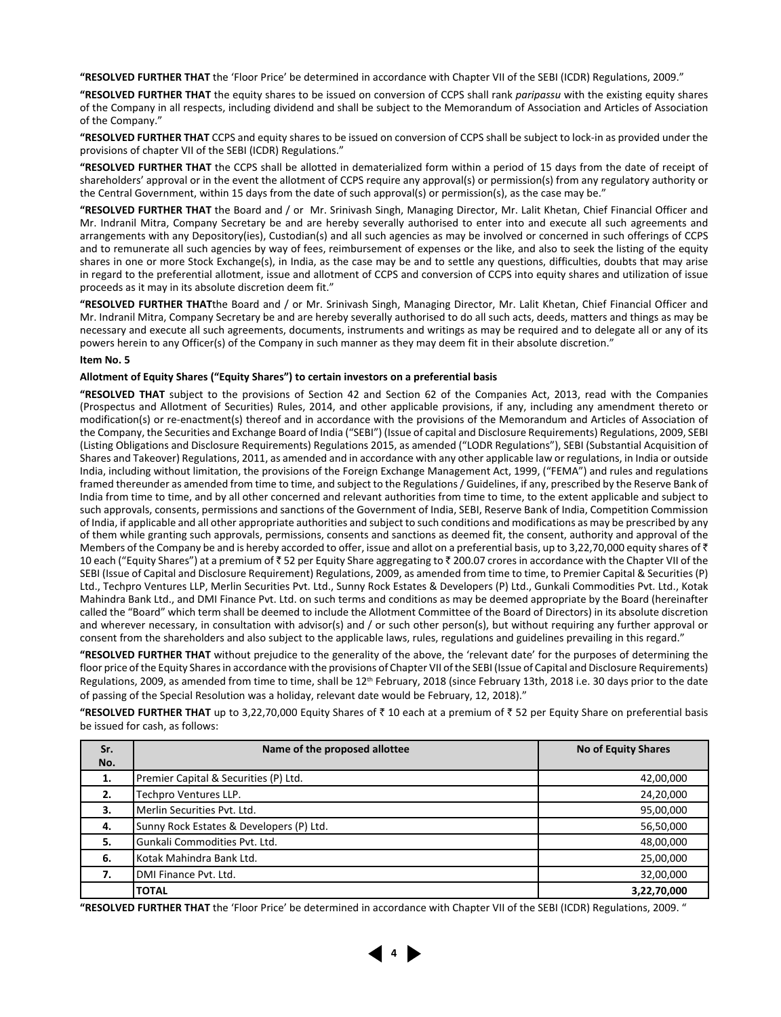**"RESOLVED FURTHER THAT** the 'Floor Price' be determined in accordance with Chapter VII of the SEBI (ICDR) Regulations, 2009."

**"RESOLVED FURTHER THAT** the equity shares to be issued on conversion of CCPS shall rank *paripassu* with the existing equity shares of the Company in all respects, including dividend and shall be subject to the Memorandum of Association and Articles of Association of the Company."

**"RESOLVED FURTHER THAT** CCPS and equity shares to be issued on conversion of CCPS shall be subject to lock-in as provided under the provisions of chapter VII of the SEBI (ICDR) Regulations."

**"RESOLVED FURTHER THAT** the CCPS shall be allotted in dematerialized form within a period of 15 days from the date of receipt of shareholders' approval or in the event the allotment of CCPS require any approval(s) or permission(s) from any regulatory authority or the Central Government, within 15 days from the date of such approval(s) or permission(s), as the case may be."

**"RESOLVED FURTHER THAT** the Board and / or Mr. Srinivash Singh, Managing Director, Mr. Lalit Khetan, Chief Financial Officer and Mr. Indranil Mitra, Company Secretary be and are hereby severally authorised to enter into and execute all such agreements and arrangements with any Depository(ies), Custodian(s) and all such agencies as may be involved or concerned in such offerings of CCPS and to remunerate all such agencies by way of fees, reimbursement of expenses or the like, and also to seek the listing of the equity shares in one or more Stock Exchange(s), in India, as the case may be and to settle any questions, difficulties, doubts that may arise in regard to the preferential allotment, issue and allotment of CCPS and conversion of CCPS into equity shares and utilization of issue proceeds as it may in its absolute discretion deem fit."

**"RESOLVED FURTHER THAT**the Board and / or Mr. Srinivash Singh, Managing Director, Mr. Lalit Khetan, Chief Financial Officer and Mr. Indranil Mitra, Company Secretary be and are hereby severally authorised to do all such acts, deeds, matters and things as may be necessary and execute all such agreements, documents, instruments and writings as may be required and to delegate all or any of its powers herein to any Officer(s) of the Company in such manner as they may deem fit in their absolute discretion."

#### **Item No. 5**

#### **Allotment of Equity Shares ("Equity Shares") to certain investors on a preferential basis**

**"RESOLVED THAT** subject to the provisions of Section 42 and Section 62 of the Companies Act, 2013, read with the Companies (Prospectus and Allotment of Securities) Rules, 2014, and other applicable provisions, if any, including any amendment thereto or modification(s) or re-enactment(s) thereof and in accordance with the provisions of the Memorandum and Articles of Association of the Company, the Securities and Exchange Board of India ("SEBI") (Issue of capital and Disclosure Requirements) Regulations, 2009, SEBI (Listing Obligations and Disclosure Requirements) Regulations 2015, as amended ("LODR Regulations"), SEBI (Substantial Acquisition of Shares and Takeover) Regulations, 2011, as amended and in accordance with any other applicable law or regulations, in India or outside India, including without limitation, the provisions of the Foreign Exchange Management Act, 1999, ("FEMA") and rules and regulations framed thereunder as amended from time to time, and subject to the Regulations / Guidelines, if any, prescribed by the Reserve Bank of India from time to time, and by all other concerned and relevant authorities from time to time, to the extent applicable and subject to such approvals, consents, permissions and sanctions of the Government of India, SEBI, Reserve Bank of India, Competition Commission of India, if applicable and all other appropriate authorities and subject to such conditions and modifications as may be prescribed by any of them while granting such approvals, permissions, consents and sanctions as deemed fit, the consent, authority and approval of the Members of the Company be and is hereby accorded to offer, issue and allot on a preferential basis, up to 3,22,70,000 equity shares of  $\bar{\tau}$ 10 each ("Equity Shares") at a premium of ₹52 per Equity Share aggregating to ₹200.07 crores in accordance with the Chapter VII of the SEBI (Issue of Capital and Disclosure Requirement) Regulations, 2009, as amended from time to time, to Premier Capital & Securities (P) Ltd., Techpro Ventures LLP, Merlin Securities Pvt. Ltd., Sunny Rock Estates & Developers (P) Ltd., Gunkali Commodities Pvt. Ltd., Kotak Mahindra Bank Ltd., and DMI Finance Pvt. Ltd. on such terms and conditions as may be deemed appropriate by the Board (hereinafter called the "Board" which term shall be deemed to include the Allotment Committee of the Board of Directors) in its absolute discretion and wherever necessary, in consultation with advisor(s) and / or such other person(s), but without requiring any further approval or consent from the shareholders and also subject to the applicable laws, rules, regulations and guidelines prevailing in this regard."

**"RESOLVED FURTHER THAT** without prejudice to the generality of the above, the 'relevant date' for the purposes of determining the floor price of the Equity Shares in accordance with the provisions of Chapter VII of the SEBI (Issue of Capital and Disclosure Requirements) Regulations, 2009, as amended from time to time, shall be 12<sup>th</sup> February, 2018 (since February 13th, 2018 i.e. 30 days prior to the date of passing of the Special Resolution was a holiday, relevant date would be February, 12, 2018)."

"RESOLVED FURTHER THAT up to 3,22,70,000 Equity Shares of ₹ 10 each at a premium of ₹ 52 per Equity Share on preferential basis be issued for cash, as follows:

| Sr. | Name of the proposed allottee                         | <b>No of Equity Shares</b> |  |  |
|-----|-------------------------------------------------------|----------------------------|--|--|
| No. |                                                       |                            |  |  |
| 1.  | Premier Capital & Securities (P) Ltd.                 | 42,00,000                  |  |  |
| 2.  | Techpro Ventures LLP.                                 | 24,20,000                  |  |  |
| 3.  | Merlin Securities Pvt. Ltd.<br>95,00,000              |                            |  |  |
| 4.  | Sunny Rock Estates & Developers (P) Ltd.<br>56,50,000 |                            |  |  |
| 5.  | Gunkali Commodities Pvt. Ltd.<br>48,00,000            |                            |  |  |
| 6.  | Kotak Mahindra Bank Ltd.                              | 25,00,000                  |  |  |
| 7.  | DMI Finance Pvt. Ltd.                                 | 32,00,000                  |  |  |
|     | <b>TOTAL</b>                                          | 3,22,70,000                |  |  |

**"RESOLVED FURTHER THAT** the 'Floor Price' be determined in accordance with Chapter VII of the SEBI (ICDR) Regulations, 2009. "

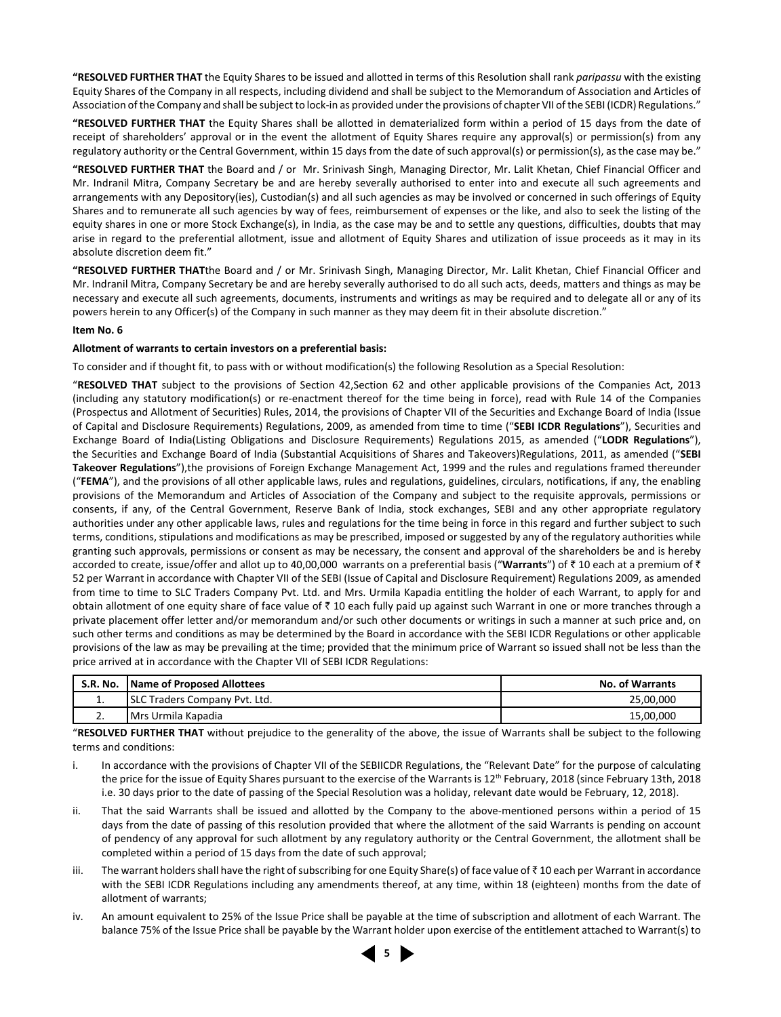**"RESOLVED FURTHER THAT** the Equity Shares to be issued and allotted in terms of this Resolution shall rank *paripassu* with the existing Equity Shares of the Company in all respects, including dividend and shall be subject to the Memorandum of Association and Articles of Association of the Company and shall be subject to lock-in as provided under the provisions of chapter VII of the SEBI (ICDR) Regulations."

**"RESOLVED FURTHER THAT** the Equity Shares shall be allotted in dematerialized form within a period of 15 days from the date of receipt of shareholders' approval or in the event the allotment of Equity Shares require any approval(s) or permission(s) from any regulatory authority or the Central Government, within 15 days from the date of such approval(s) or permission(s), as the case may be."

**"RESOLVED FURTHER THAT** the Board and / or Mr. Srinivash Singh, Managing Director, Mr. Lalit Khetan, Chief Financial Officer and Mr. Indranil Mitra, Company Secretary be and are hereby severally authorised to enter into and execute all such agreements and arrangements with any Depository(ies), Custodian(s) and all such agencies as may be involved or concerned in such offerings of Equity Shares and to remunerate all such agencies by way of fees, reimbursement of expenses or the like, and also to seek the listing of the equity shares in one or more Stock Exchange(s), in India, as the case may be and to settle any questions, difficulties, doubts that may arise in regard to the preferential allotment, issue and allotment of Equity Shares and utilization of issue proceeds as it may in its absolute discretion deem fit."

**"RESOLVED FURTHER THAT**the Board and / or Mr. Srinivash Singh, Managing Director, Mr. Lalit Khetan, Chief Financial Officer and Mr. Indranil Mitra, Company Secretary be and are hereby severally authorised to do all such acts, deeds, matters and things as may be necessary and execute all such agreements, documents, instruments and writings as may be required and to delegate all or any of its powers herein to any Officer(s) of the Company in such manner as they may deem fit in their absolute discretion."

#### **Item No. 6**

#### **Allotment of warrants to certain investors on a preferential basis:**

To consider and if thought fit, to pass with or without modification(s) the following Resolution as a Special Resolution:

"**RESOLVED THAT** subject to the provisions of Section 42,Section 62 and other applicable provisions of the Companies Act, 2013 (including any statutory modification(s) or re-enactment thereof for the time being in force), read with Rule 14 of the Companies (Prospectus and Allotment of Securities) Rules, 2014, the provisions of Chapter VII of the Securities and Exchange Board of India (Issue of Capital and Disclosure Requirements) Regulations, 2009, as amended from time to time ("**SEBI ICDR Regulations**"), Securities and Exchange Board of India(Listing Obligations and Disclosure Requirements) Regulations 2015, as amended ("**LODR Regulations**"), the Securities and Exchange Board of India (Substantial Acquisitions of Shares and Takeovers)Regulations, 2011, as amended ("**SEBI Takeover Regulations**"),the provisions of Foreign Exchange Management Act, 1999 and the rules and regulations framed thereunder ("**FEMA**"), and the provisions of all other applicable laws, rules and regulations, guidelines, circulars, notifications, if any, the enabling provisions of the Memorandum and Articles of Association of the Company and subject to the requisite approvals, permissions or consents, if any, of the Central Government, Reserve Bank of India, stock exchanges, SEBI and any other appropriate regulatory authorities under any other applicable laws, rules and regulations for the time being in force in this regard and further subject to such terms, conditions, stipulations and modifications as may be prescribed, imposed or suggested by any of the regulatory authorities while granting such approvals, permissions or consent as may be necessary, the consent and approval of the shareholders be and is hereby accorded to create, issue/offer and allot up to 40,00,000 warrants on a preferential basis ("Warrants") of ₹10 each at a premium of ₹ 52 per Warrant in accordance with Chapter VII of the SEBI (Issue of Capital and Disclosure Requirement) Regulations 2009, as amended from time to time to SLC Traders Company Pvt. Ltd. and Mrs. Urmila Kapadia entitling the holder of each Warrant, to apply for and obtain allotment of one equity share of face value of  $\bar{\tau}$  10 each fully paid up against such Warrant in one or more tranches through a private placement offer letter and/or memorandum and/or such other documents or writings in such a manner at such price and, on such other terms and conditions as may be determined by the Board in accordance with the SEBI ICDR Regulations or other applicable provisions of the law as may be prevailing at the time; provided that the minimum price of Warrant so issued shall not be less than the price arrived at in accordance with the Chapter VII of SEBI ICDR Regulations:

| <b>S.R. No.</b> | Name of Proposed Allottees    | <b>No. of Warrants</b> |
|-----------------|-------------------------------|------------------------|
| . .             | SLC Traders Company Pvt. Ltd. | 25,00,000              |
| <u></u>         | IMrs Urmila Kapadia           | 15,00,000              |

"**RESOLVED FURTHER THAT** without prejudice to the generality of the above, the issue of Warrants shall be subject to the following terms and conditions:

- i. In accordance with the provisions of Chapter VII of the SEBIICDR Regulations, the "Relevant Date" for the purpose of calculating the price for the issue of Equity Shares pursuant to the exercise of the Warrants is 12<sup>th</sup> February, 2018 (since February 13th, 2018 i.e. 30 days prior to the date of passing of the Special Resolution was a holiday, relevant date would be February, 12, 2018).
- ii. That the said Warrants shall be issued and allotted by the Company to the above-mentioned persons within a period of 15 days from the date of passing of this resolution provided that where the allotment of the said Warrants is pending on account of pendency of any approval for such allotment by any regulatory authority or the Central Government, the allotment shall be completed within a period of 15 days from the date of such approval;
- iii. The warrant holders shall have the right of subscribing for one Equity Share(s) of face value of  $\bar{\tau}$  10 each per Warrant in accordance with the SEBI ICDR Regulations including any amendments thereof, at any time, within 18 (eighteen) months from the date of allotment of warrants;
- iv. An amount equivalent to 25% of the Issue Price shall be payable at the time of subscription and allotment of each Warrant. The balance 75% of the Issue Price shall be payable by the Warrant holder upon exercise of the entitlement attached to Warrant(s) to

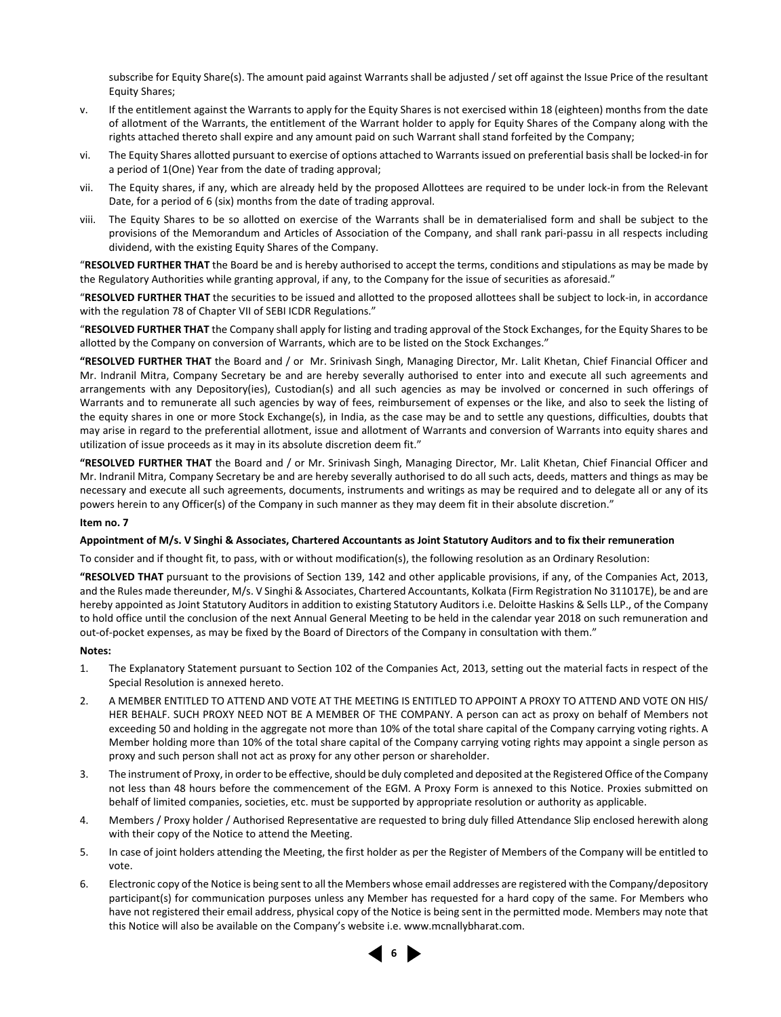subscribe for Equity Share(s). The amount paid against Warrants shall be adjusted / set off against the Issue Price of the resultant Equity Shares;

- v. If the entitlement against the Warrants to apply for the Equity Shares is not exercised within 18 (eighteen) months from the date of allotment of the Warrants, the entitlement of the Warrant holder to apply for Equity Shares of the Company along with the rights attached thereto shall expire and any amount paid on such Warrant shall stand forfeited by the Company;
- vi. The Equity Shares allotted pursuant to exercise of options attached to Warrants issued on preferential basis shall be locked-in for a period of 1(One) Year from the date of trading approval;
- vii. The Equity shares, if any, which are already held by the proposed Allottees are required to be under lock-in from the Relevant Date, for a period of 6 (six) months from the date of trading approval.
- viii. The Equity Shares to be so allotted on exercise of the Warrants shall be in dematerialised form and shall be subject to the provisions of the Memorandum and Articles of Association of the Company, and shall rank pari-passu in all respects including dividend, with the existing Equity Shares of the Company.

"**RESOLVED FURTHER THAT** the Board be and is hereby authorised to accept the terms, conditions and stipulations as may be made by the Regulatory Authorities while granting approval, if any, to the Company for the issue of securities as aforesaid."

"**RESOLVED FURTHER THAT** the securities to be issued and allotted to the proposed allottees shall be subject to lock-in, in accordance with the regulation 78 of Chapter VII of SEBI ICDR Regulations."

"**RESOLVED FURTHER THAT** the Company shall apply for listing and trading approval of the Stock Exchanges, for the Equity Shares to be allotted by the Company on conversion of Warrants, which are to be listed on the Stock Exchanges."

**"RESOLVED FURTHER THAT** the Board and / or Mr. Srinivash Singh, Managing Director, Mr. Lalit Khetan, Chief Financial Officer and Mr. Indranil Mitra, Company Secretary be and are hereby severally authorised to enter into and execute all such agreements and arrangements with any Depository(ies), Custodian(s) and all such agencies as may be involved or concerned in such offerings of Warrants and to remunerate all such agencies by way of fees, reimbursement of expenses or the like, and also to seek the listing of the equity shares in one or more Stock Exchange(s), in India, as the case may be and to settle any questions, difficulties, doubts that may arise in regard to the preferential allotment, issue and allotment of Warrants and conversion of Warrants into equity shares and utilization of issue proceeds as it may in its absolute discretion deem fit."

**"RESOLVED FURTHER THAT** the Board and / or Mr. Srinivash Singh, Managing Director, Mr. Lalit Khetan, Chief Financial Officer and Mr. Indranil Mitra, Company Secretary be and are hereby severally authorised to do all such acts, deeds, matters and things as may be necessary and execute all such agreements, documents, instruments and writings as may be required and to delegate all or any of its powers herein to any Officer(s) of the Company in such manner as they may deem fit in their absolute discretion."

#### **Item no. 7**

#### **Appointment of M/s. V Singhi & Associates, Chartered Accountants as Joint Statutory Auditors and to fix their remuneration**

To consider and if thought fit, to pass, with or without modification(s), the following resolution as an Ordinary Resolution:

**"RESOLVED THAT** pursuant to the provisions of Section 139, 142 and other applicable provisions, if any, of the Companies Act, 2013, and the Rules made thereunder, M/s. V Singhi & Associates, Chartered Accountants, Kolkata (Firm Registration No 311017E), be and are hereby appointed as Joint Statutory Auditors in addition to existing Statutory Auditors i.e. Deloitte Haskins & Sells LLP., of the Company to hold office until the conclusion of the next Annual General Meeting to be held in the calendar year 2018 on such remuneration and out-of-pocket expenses, as may be fixed by the Board of Directors of the Company in consultation with them."

#### **Notes:**

- 1. The Explanatory Statement pursuant to Section 102 of the Companies Act, 2013, setting out the material facts in respect of the Special Resolution is annexed hereto.
- 2. A MEMBER ENTITLED TO ATTEND AND VOTE AT THE MEETING IS ENTITLED TO APPOINT A PROXY TO ATTEND AND VOTE ON HIS/ HER BEHALF. SUCH PROXY NEED NOT BE A MEMBER OF THE COMPANY. A person can act as proxy on behalf of Members not exceeding 50 and holding in the aggregate not more than 10% of the total share capital of the Company carrying voting rights. A Member holding more than 10% of the total share capital of the Company carrying voting rights may appoint a single person as proxy and such person shall not act as proxy for any other person or shareholder.
- 3. The instrument of Proxy, in order to be effective, should be duly completed and deposited at the Registered Office of the Company not less than 48 hours before the commencement of the EGM. A Proxy Form is annexed to this Notice. Proxies submitted on behalf of limited companies, societies, etc. must be supported by appropriate resolution or authority as applicable.
- 4. Members / Proxy holder / Authorised Representative are requested to bring duly filled Attendance Slip enclosed herewith along with their copy of the Notice to attend the Meeting.
- 5. In case of joint holders attending the Meeting, the first holder as per the Register of Members of the Company will be entitled to vote.
- 6. Electronic copy of the Notice is being sent to all the Members whose email addresses are registered with the Company/depository participant(s) for communication purposes unless any Member has requested for a hard copy of the same. For Members who have not registered their email address, physical copy of the Notice is being sent in the permitted mode. Members may note that this Notice will also be available on the Company's website i.e. www.mcnallybharat.com.

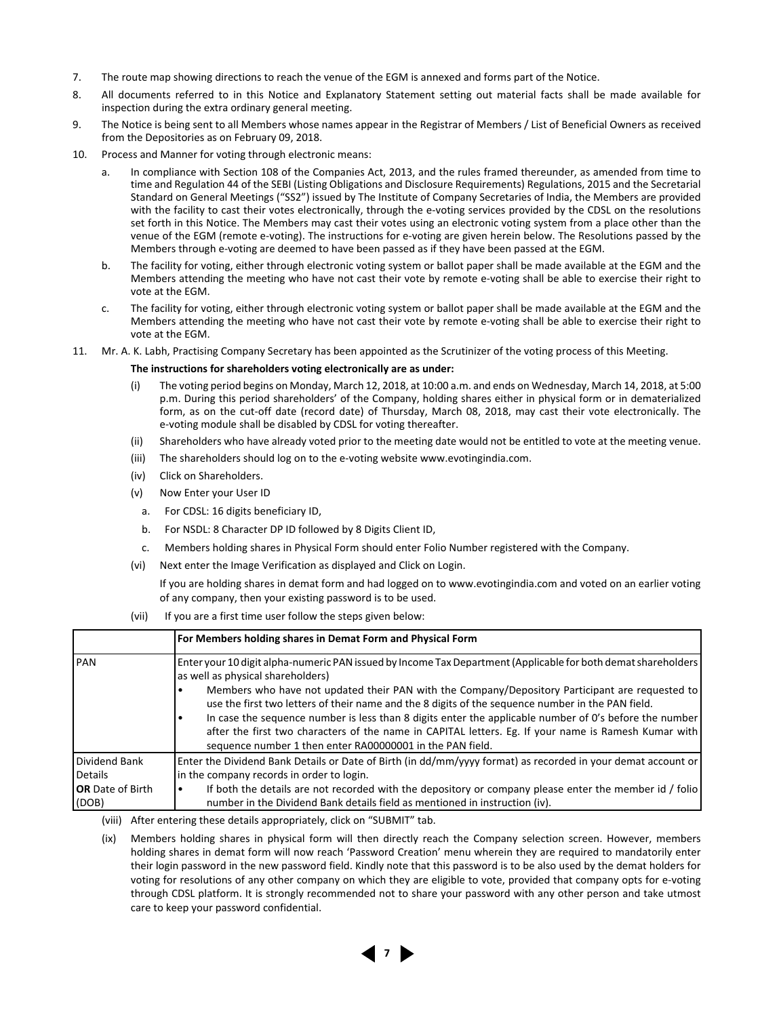- 7. The route map showing directions to reach the venue of the EGM is annexed and forms part of the Notice.
- 8. All documents referred to in this Notice and Explanatory Statement setting out material facts shall be made available for inspection during the extra ordinary general meeting.
- 9. The Notice is being sent to all Members whose names appear in the Registrar of Members / List of Beneficial Owners as received from the Depositories as on February 09, 2018.
- 10. Process and Manner for voting through electronic means:
	- a. In compliance with Section 108 of the Companies Act, 2013, and the rules framed thereunder, as amended from time to time and Regulation 44 of the SEBI (Listing Obligations and Disclosure Requirements) Regulations, 2015 and the Secretarial Standard on General Meetings ("SS2") issued by The Institute of Company Secretaries of India, the Members are provided with the facility to cast their votes electronically, through the e-voting services provided by the CDSL on the resolutions set forth in this Notice. The Members may cast their votes using an electronic voting system from a place other than the venue of the EGM (remote e-voting). The instructions for e-voting are given herein below. The Resolutions passed by the Members through e-voting are deemed to have been passed as if they have been passed at the EGM.
	- b. The facility for voting, either through electronic voting system or ballot paper shall be made available at the EGM and the Members attending the meeting who have not cast their vote by remote e-voting shall be able to exercise their right to vote at the EGM.
	- c. The facility for voting, either through electronic voting system or ballot paper shall be made available at the EGM and the Members attending the meeting who have not cast their vote by remote e-voting shall be able to exercise their right to vote at the EGM.
- 11. Mr. A. K. Labh, Practising Company Secretary has been appointed as the Scrutinizer of the voting process of this Meeting.

#### **The instructions for shareholders voting electronically are as under:**

- (i) The voting period begins on Monday, March 12, 2018, at 10:00 a.m. and ends on Wednesday, March 14, 2018, at 5:00 p.m. During this period shareholders' of the Company, holding shares either in physical form or in dematerialized form, as on the cut-off date (record date) of Thursday, March 08, 2018, may cast their vote electronically. The e-voting module shall be disabled by CDSL for voting thereafter.
- (ii) Shareholders who have already voted prior to the meeting date would not be entitled to vote at the meeting venue.
- (iii) The shareholders should log on to the e-voting website www.evotingindia.com.
- (iv) Click on Shareholders.
- (v) Now Enter your User ID
- a. For CDSL: 16 digits beneficiary ID,
- b. For NSDL: 8 Character DP ID followed by 8 Digits Client ID,
- c. Members holding shares in Physical Form should enter Folio Number registered with the Company.
- (vi) Next enter the Image Verification as displayed and Click on Login.

 If you are holding shares in demat form and had logged on to www.evotingindia.com and voted on an earlier voting of any company, then your existing password is to be used.

(vii) If you are a first time user follow the steps given below:

|                                                              | For Members holding shares in Demat Form and Physical Form                                                                                                                                                                                                                                                                                                                                                                                                                                                                                                                                                                                 |
|--------------------------------------------------------------|--------------------------------------------------------------------------------------------------------------------------------------------------------------------------------------------------------------------------------------------------------------------------------------------------------------------------------------------------------------------------------------------------------------------------------------------------------------------------------------------------------------------------------------------------------------------------------------------------------------------------------------------|
| <b>PAN</b>                                                   | Enter your 10 digit alpha-numeric PAN issued by Income Tax Department (Applicable for both demat shareholders)<br>as well as physical shareholders)<br>Members who have not updated their PAN with the Company/Depository Participant are requested to<br>use the first two letters of their name and the 8 digits of the sequence number in the PAN field.<br>In case the sequence number is less than 8 digits enter the applicable number of 0's before the number<br>after the first two characters of the name in CAPITAL letters. Eg. If your name is Ramesh Kumar with<br>sequence number 1 then enter RA00000001 in the PAN field. |
| Dividend Bank<br>Details<br><b>OR</b> Date of Birth<br>(DOB) | Enter the Dividend Bank Details or Date of Birth (in dd/mm/yyyy format) as recorded in your demat account or<br>in the company records in order to login.<br>If both the details are not recorded with the depository or company please enter the member id / folio<br>number in the Dividend Bank details field as mentioned in instruction (iv).                                                                                                                                                                                                                                                                                         |

(viii) After entering these details appropriately, click on "SUBMIT" tab.

 (ix) Members holding shares in physical form will then directly reach the Company selection screen. However, members holding shares in demat form will now reach 'Password Creation' menu wherein they are required to mandatorily enter their login password in the new password field. Kindly note that this password is to be also used by the demat holders for voting for resolutions of any other company on which they are eligible to vote, provided that company opts for e-voting through CDSL platform. It is strongly recommended not to share your password with any other person and take utmost care to keep your password confidential.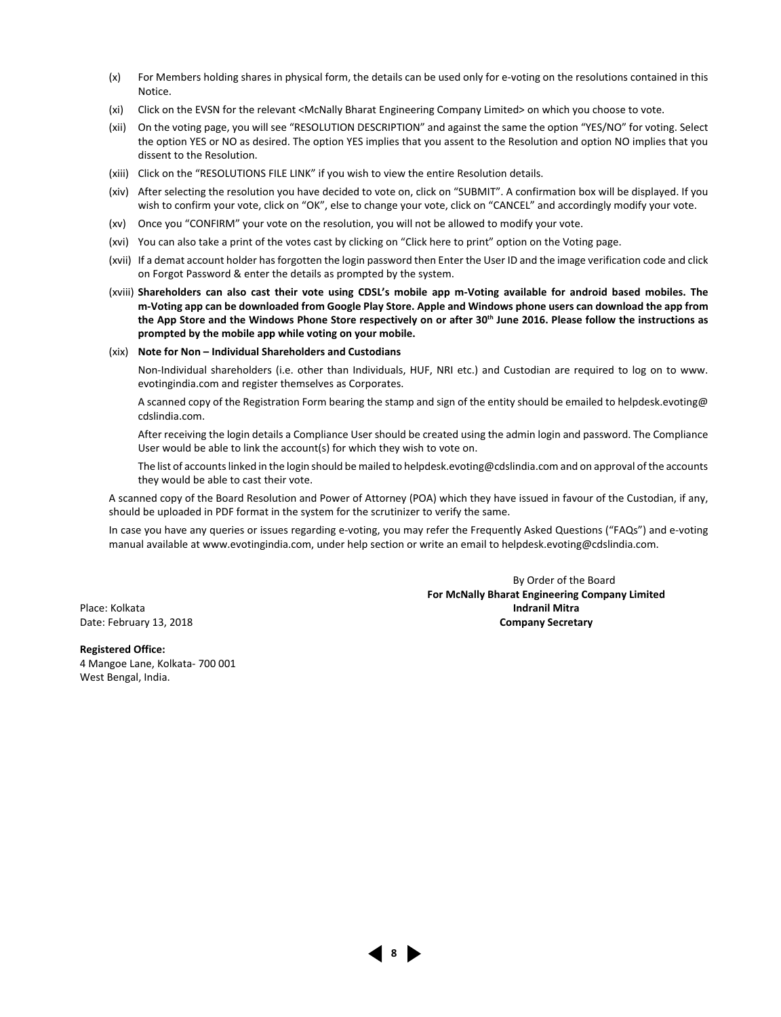- (x) For Members holding shares in physical form, the details can be used only for e-voting on the resolutions contained in this Notice.
- (xi) Click on the EVSN for the relevant <McNally Bharat Engineering Company Limited> on which you choose to vote.
- (xii) On the voting page, you will see "RESOLUTION DESCRIPTION" and against the same the option "YES/NO" for voting. Select the option YES or NO as desired. The option YES implies that you assent to the Resolution and option NO implies that you dissent to the Resolution.
- (xiii) Click on the "RESOLUTIONS FILE LINK" if you wish to view the entire Resolution details.
- (xiv) After selecting the resolution you have decided to vote on, click on "SUBMIT". A confirmation box will be displayed. If you wish to confirm your vote, click on "OK", else to change your vote, click on "CANCEL" and accordingly modify your vote.
- (xv) Once you "CONFIRM" your vote on the resolution, you will not be allowed to modify your vote.
- (xvi) You can also take a print of the votes cast by clicking on "Click here to print" option on the Voting page.
- (xvii) If a demat account holder has forgotten the login password then Enter the User ID and the image verification code and click on Forgot Password & enter the details as prompted by the system.
- (xviii) **Shareholders can also cast their vote using CDSL's mobile app m-Voting available for android based mobiles. The m-Voting app can be downloaded from Google Play Store. Apple and Windows phone users can download the app from**  the App Store and the Windows Phone Store respectively on or after 30<sup>th</sup> June 2016. Please follow the instructions as **prompted by the mobile app while voting on your mobile.**

#### (xix) **Note for Non – Individual Shareholders and Custodians**

 Non-Individual shareholders (i.e. other than Individuals, HUF, NRI etc.) and Custodian are required to log on to www. evotingindia.com and register themselves as Corporates.

 A scanned copy of the Registration Form bearing the stamp and sign of the entity should be emailed to helpdesk.evoting@ cdslindia.com.

 After receiving the login details a Compliance User should be created using the admin login and password. The Compliance User would be able to link the account(s) for which they wish to vote on.

 The list of accounts linked in the login should be mailed to helpdesk.evoting@cdslindia.com and on approval of the accounts they would be able to cast their vote.

 A scanned copy of the Board Resolution and Power of Attorney (POA) which they have issued in favour of the Custodian, if any, should be uploaded in PDF format in the system for the scrutinizer to verify the same.

 In case you have any queries or issues regarding e-voting, you may refer the Frequently Asked Questions ("FAQs") and e-voting manual available at www.evotingindia.com, under help section or write an email to helpdesk.evoting@cdslindia.com.

By Order of the Board **For McNally Bharat Engineering Company Limited**<br> **Place: Kolkata Indranil Mitra** Date: February 13, 2018 **Company Secretary**

**Registered Office:** 4 Mangoe Lane, Kolkata- 700 001 West Bengal, India.

**8**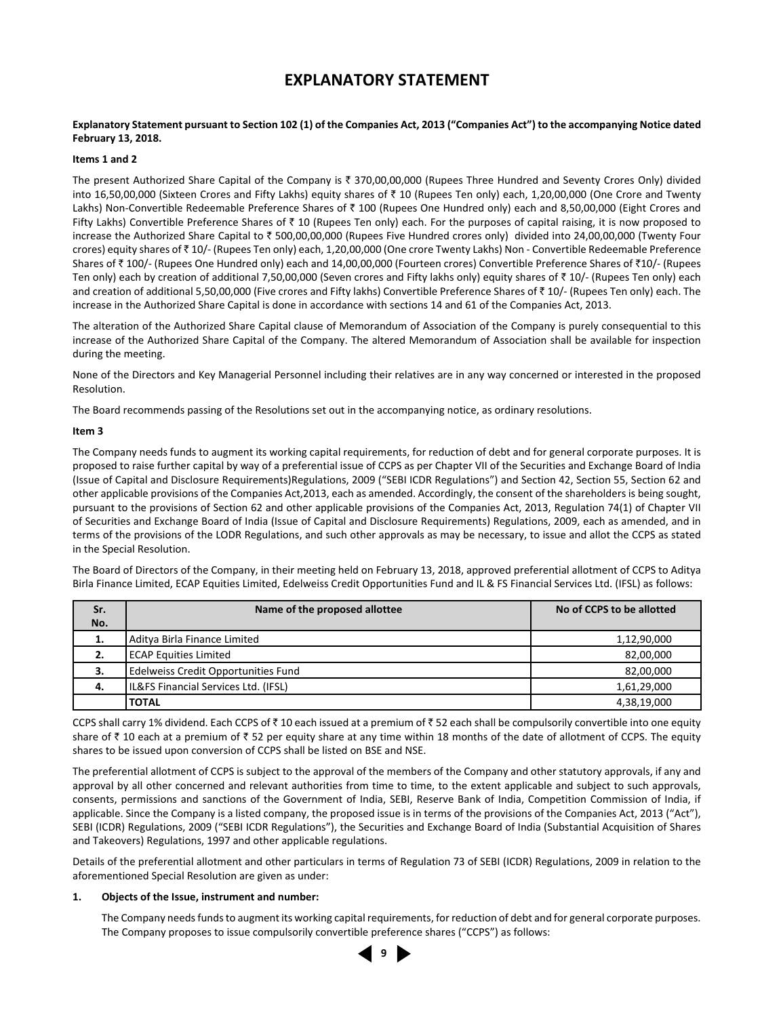## **EXPLANATORY STATEMENT**

#### **Explanatory Statement pursuant to Section 102 (1) of the Companies Act, 2013 ("Companies Act") to the accompanying Notice dated February 13, 2018.**

#### **Items 1 and 2**

The present Authorized Share Capital of the Company is  $\bar{\tau}$  370,00,00,000 (Rupees Three Hundred and Seventy Crores Only) divided into 16,50,00,000 (Sixteen Crores and Fifty Lakhs) equity shares of  $\bar{\tau}$  10 (Rupees Ten only) each, 1,20,00,000 (One Crore and Twenty Lakhs) Non-Convertible Redeemable Preference Shares of ₹ 100 (Rupees One Hundred only) each and 8,50,00,000 (Eight Crores and Fifty Lakhs) Convertible Preference Shares of  $\bar{z}$  10 (Rupees Ten only) each. For the purposes of capital raising, it is now proposed to increase the Authorized Share Capital to ₹ 500,00,00,000 (Rupees Five Hundred crores only) divided into 24,00,00,000 (Twenty Four crores) equity shares of ` 10/- (Rupees Ten only) each, 1,20,00,000 (One crore Twenty Lakhs) Non - Convertible Redeemable Preference Shares of  $\bar{\tau}$  100/- (Rupees One Hundred only) each and 14,00,00,000 (Fourteen crores) Convertible Preference Shares of  $\bar{\tau}$ 10/- (Rupees Ten only) each by creation of additional 7,50,00,000 (Seven crores and Fifty lakhs only) equity shares of ₹ 10/- (Rupees Ten only) each and creation of additional 5,50,00,000 (Five crores and Fifty lakhs) Convertible Preference Shares of ₹10/- (Rupees Ten only) each. The increase in the Authorized Share Capital is done in accordance with sections 14 and 61 of the Companies Act, 2013.

The alteration of the Authorized Share Capital clause of Memorandum of Association of the Company is purely consequential to this increase of the Authorized Share Capital of the Company. The altered Memorandum of Association shall be available for inspection during the meeting.

None of the Directors and Key Managerial Personnel including their relatives are in any way concerned or interested in the proposed Resolution.

The Board recommends passing of the Resolutions set out in the accompanying notice, as ordinary resolutions.

#### **Item 3**

The Company needs funds to augment its working capital requirements, for reduction of debt and for general corporate purposes. It is proposed to raise further capital by way of a preferential issue of CCPS as per Chapter VII of the Securities and Exchange Board of India (Issue of Capital and Disclosure Requirements)Regulations, 2009 ("SEBI ICDR Regulations") and Section 42, Section 55, Section 62 and other applicable provisions of the Companies Act,2013, each as amended. Accordingly, the consent of the shareholders is being sought, pursuant to the provisions of Section 62 and other applicable provisions of the Companies Act, 2013, Regulation 74(1) of Chapter VII of Securities and Exchange Board of India (Issue of Capital and Disclosure Requirements) Regulations, 2009, each as amended, and in terms of the provisions of the LODR Regulations, and such other approvals as may be necessary, to issue and allot the CCPS as stated in the Special Resolution.

The Board of Directors of the Company, in their meeting held on February 13, 2018, approved preferential allotment of CCPS to Aditya Birla Finance Limited, ECAP Equities Limited, Edelweiss Credit Opportunities Fund and IL & FS Financial Services Ltd. (IFSL) as follows:

| Sr. | No of CCPS to be allotted<br>Name of the proposed allottee |             |  |
|-----|------------------------------------------------------------|-------------|--|
| No. |                                                            |             |  |
| 1.  | Aditya Birla Finance Limited                               | 1,12,90,000 |  |
| 2.  | ECAP Equities Limited                                      | 82,00,000   |  |
| 3.  | Edelweiss Credit Opportunities Fund                        | 82,00,000   |  |
| 4.  | IL&FS Financial Services Ltd. (IFSL)                       | 1,61,29,000 |  |
|     | <b>TOTAL</b>                                               | 4,38,19,000 |  |

CCPS shall carry 1% dividend. Each CCPS of  $\bar{\tau}$  10 each issued at a premium of  $\bar{\tau}$  52 each shall be compulsorily convertible into one equity share of  $\bar{z}$  10 each at a premium of  $\bar{z}$  52 per equity share at any time within 18 months of the date of allotment of CCPS. The equity shares to be issued upon conversion of CCPS shall be listed on BSE and NSE.

The preferential allotment of CCPS is subject to the approval of the members of the Company and other statutory approvals, if any and approval by all other concerned and relevant authorities from time to time, to the extent applicable and subject to such approvals, consents, permissions and sanctions of the Government of India, SEBI, Reserve Bank of India, Competition Commission of India, if applicable. Since the Company is a listed company, the proposed issue is in terms of the provisions of the Companies Act, 2013 ("Act"), SEBI (ICDR) Regulations, 2009 ("SEBI ICDR Regulations"), the Securities and Exchange Board of India (Substantial Acquisition of Shares and Takeovers) Regulations, 1997 and other applicable regulations.

Details of the preferential allotment and other particulars in terms of Regulation 73 of SEBI (ICDR) Regulations, 2009 in relation to the aforementioned Special Resolution are given as under:

#### **1. Objects of the Issue, instrument and number:**

 The Company needs funds to augment its working capital requirements, for reduction of debt and for general corporate purposes. The Company proposes to issue compulsorily convertible preference shares ("CCPS") as follows:

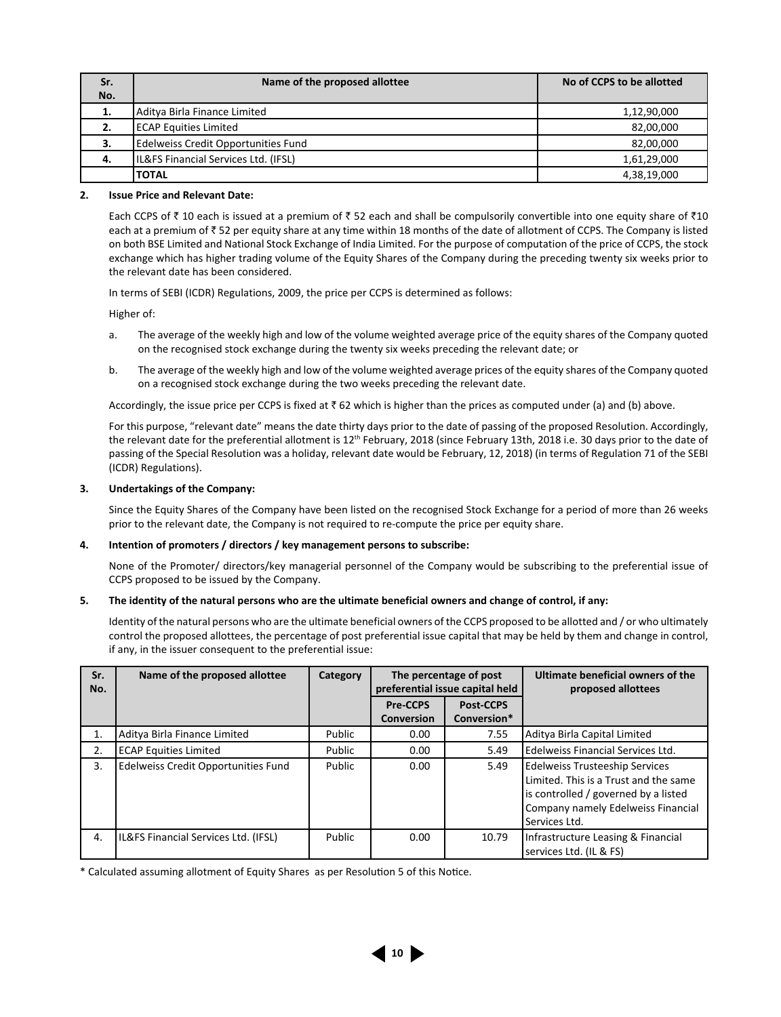| Sr.<br>No. | Name of the proposed allottee                       | No of CCPS to be allotted |  |
|------------|-----------------------------------------------------|---------------------------|--|
| 1.         | Aditya Birla Finance Limited                        | 1,12,90,000               |  |
| 2.         | ECAP Equities Limited                               | 82,00,000                 |  |
| з.         | Edelweiss Credit Opportunities Fund<br>82.00.000    |                           |  |
| 4.         | IL&FS Financial Services Ltd. (IFSL)<br>1,61,29,000 |                           |  |
|            | <b>TOTAL</b>                                        | 4,38,19,000               |  |

#### **2. Issue Price and Relevant Date:**

Each CCPS of  $\bar{\tau}$  10 each is issued at a premium of  $\bar{\tau}$  52 each and shall be compulsorily convertible into one equity share of  $\bar{\tau}$ 10 each at a premium of  $\bar{\tau}$  52 per equity share at any time within 18 months of the date of allotment of CCPS. The Company is listed on both BSE Limited and National Stock Exchange of India Limited. For the purpose of computation of the price of CCPS, the stock exchange which has higher trading volume of the Equity Shares of the Company during the preceding twenty six weeks prior to the relevant date has been considered.

In terms of SEBI (ICDR) Regulations, 2009, the price per CCPS is determined as follows:

Higher of:

- a. The average of the weekly high and low of the volume weighted average price of the equity shares of the Company quoted on the recognised stock exchange during the twenty six weeks preceding the relevant date; or
- b. The average of the weekly high and low of the volume weighted average prices of the equity shares of the Company quoted on a recognised stock exchange during the two weeks preceding the relevant date.

Accordingly, the issue price per CCPS is fixed at  $\bar{z}$  62 which is higher than the prices as computed under (a) and (b) above.

 For this purpose, "relevant date" means the date thirty days prior to the date of passing of the proposed Resolution. Accordingly, the relevant date for the preferential allotment is 12<sup>th</sup> February, 2018 (since February 13th, 2018 i.e. 30 days prior to the date of passing of the Special Resolution was a holiday, relevant date would be February, 12, 2018) (in terms of Regulation 71 of the SEBI (ICDR) Regulations).

#### **3. Undertakings of the Company:**

 Since the Equity Shares of the Company have been listed on the recognised Stock Exchange for a period of more than 26 weeks prior to the relevant date, the Company is not required to re-compute the price per equity share.

#### **4. Intention of promoters / directors / key management persons to subscribe:**

 None of the Promoter/ directors/key managerial personnel of the Company would be subscribing to the preferential issue of CCPS proposed to be issued by the Company.

#### **5. The identity of the natural persons who are the ultimate beneficial owners and change of control, if any:**

 Identity of the natural persons who are the ultimate beneficial owners of the CCPS proposed to be allotted and / or who ultimately control the proposed allottees, the percentage of post preferential issue capital that may be held by them and change in control, if any, in the issuer consequent to the preferential issue:

| Sr.<br>No. | Name of the proposed allottee        | Category |                               | The percentage of post<br>preferential issue capital held | Ultimate beneficial owners of the<br>proposed allottees                                                                                                                       |
|------------|--------------------------------------|----------|-------------------------------|-----------------------------------------------------------|-------------------------------------------------------------------------------------------------------------------------------------------------------------------------------|
|            |                                      |          | <b>Pre-CCPS</b><br>Conversion | <b>Post-CCPS</b><br>Conversion*                           |                                                                                                                                                                               |
| 1.         | Aditya Birla Finance Limited         | Public   | 0.00                          | 7.55                                                      | Aditya Birla Capital Limited                                                                                                                                                  |
| 2.         | <b>ECAP Equities Limited</b>         | Public   | 0.00                          | 5.49                                                      | Edelweiss Financial Services Ltd.                                                                                                                                             |
| 3.         | Edelweiss Credit Opportunities Fund  | Public   | 0.00                          | 5.49                                                      | <b>Edelweiss Trusteeship Services</b><br>Limited. This is a Trust and the same<br>is controlled / governed by a listed<br>Company namely Edelweiss Financial<br>Services Ltd. |
| 4.         | IL&FS Financial Services Ltd. (IFSL) | Public   | 0.00                          | 10.79                                                     | Infrastructure Leasing & Financial<br>services Ltd. (IL & FS)                                                                                                                 |

\* Calculated assuming allotment of Equity Shares as per Resolution 5 of this Notice.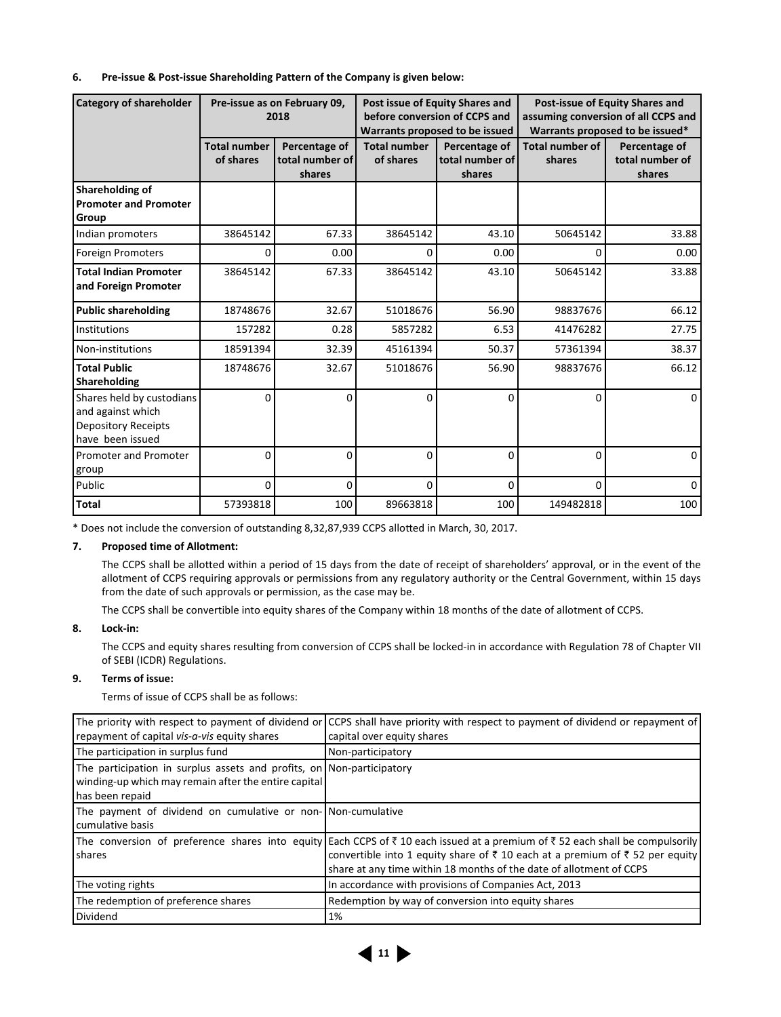#### **6. Pre-issue & Post-issue Shareholding Pattern of the Company is given below:**

| <b>Category of shareholder</b>                                                                   | Pre-issue as on February 09,<br>2018 |                                            | Post issue of Equity Shares and<br>before conversion of CCPS and<br>Warrants proposed to be issued |                                            | Post-issue of Equity Shares and<br>assuming conversion of all CCPS and<br>Warrants proposed to be issued* |                                            |
|--------------------------------------------------------------------------------------------------|--------------------------------------|--------------------------------------------|----------------------------------------------------------------------------------------------------|--------------------------------------------|-----------------------------------------------------------------------------------------------------------|--------------------------------------------|
|                                                                                                  | <b>Total number</b><br>of shares     | Percentage of<br>total number of<br>shares | <b>Total number</b><br>of shares                                                                   | Percentage of<br>total number of<br>shares | <b>Total number of</b><br>shares                                                                          | Percentage of<br>total number of<br>shares |
| Shareholding of<br><b>Promoter and Promoter</b><br>Group                                         |                                      |                                            |                                                                                                    |                                            |                                                                                                           |                                            |
| Indian promoters                                                                                 | 38645142                             | 67.33                                      | 38645142                                                                                           | 43.10                                      | 50645142                                                                                                  | 33.88                                      |
| <b>Foreign Promoters</b>                                                                         | $\Omega$                             | 0.00                                       | 0                                                                                                  | 0.00                                       | 0                                                                                                         | 0.00                                       |
| <b>Total Indian Promoter</b><br>and Foreign Promoter                                             | 38645142                             | 67.33                                      | 38645142                                                                                           | 43.10                                      | 50645142                                                                                                  | 33.88                                      |
| <b>Public shareholding</b>                                                                       | 18748676                             | 32.67                                      | 51018676                                                                                           | 56.90                                      | 98837676                                                                                                  | 66.12                                      |
| Institutions                                                                                     | 157282                               | 0.28                                       | 5857282                                                                                            | 6.53                                       | 41476282                                                                                                  | 27.75                                      |
| Non-institutions                                                                                 | 18591394                             | 32.39                                      | 45161394                                                                                           | 50.37                                      | 57361394                                                                                                  | 38.37                                      |
| <b>Total Public</b><br>Shareholding                                                              | 18748676                             | 32.67                                      | 51018676                                                                                           | 56.90                                      | 98837676                                                                                                  | 66.12                                      |
| Shares held by custodians<br>and against which<br><b>Depository Receipts</b><br>have been issued | $\Omega$                             | 0                                          | 0                                                                                                  | $\mathbf 0$                                | $\Omega$                                                                                                  | $\Omega$                                   |
| Promoter and Promoter<br>group                                                                   | $\Omega$                             | $\Omega$                                   | 0                                                                                                  | 0                                          | $\Omega$                                                                                                  | $\Omega$                                   |
| Public                                                                                           | $\Omega$                             | $\Omega$                                   | $\Omega$                                                                                           | $\Omega$                                   | $\Omega$                                                                                                  | $\Omega$                                   |
| <b>Total</b>                                                                                     | 57393818                             | 100                                        | 89663818                                                                                           | 100                                        | 149482818                                                                                                 | 100                                        |

\* Does not include the conversion of outstanding 8,32,87,939 CCPS allotted in March, 30, 2017.

### **7. Proposed time of Allotment:**

 The CCPS shall be allotted within a period of 15 days from the date of receipt of shareholders' approval, or in the event of the allotment of CCPS requiring approvals or permissions from any regulatory authority or the Central Government, within 15 days from the date of such approvals or permission, as the case may be.

The CCPS shall be convertible into equity shares of the Company within 18 months of the date of allotment of CCPS.

#### **8. Lock-in:**

 The CCPS and equity shares resulting from conversion of CCPS shall be locked-in in accordance with Regulation 78 of Chapter VII of SEBI (ICDR) Regulations.

### **9. Terms of issue:**

Terms of issue of CCPS shall be as follows:

| repayment of capital vis-a-vis equity shares                                                                                                     | The priority with respect to payment of dividend or CCPS shall have priority with respect to payment of dividend or repayment of<br>capital over equity shares                                                                                                                     |
|--------------------------------------------------------------------------------------------------------------------------------------------------|------------------------------------------------------------------------------------------------------------------------------------------------------------------------------------------------------------------------------------------------------------------------------------|
| The participation in surplus fund                                                                                                                | Non-participatory                                                                                                                                                                                                                                                                  |
| The participation in surplus assets and profits, on Non-participatory<br>winding-up which may remain after the entire capital<br>has been repaid |                                                                                                                                                                                                                                                                                    |
| The payment of dividend on cumulative or non-INon-cumulative<br>cumulative basis                                                                 |                                                                                                                                                                                                                                                                                    |
| <b>I</b> shares                                                                                                                                  | The conversion of preference shares into equity Each CCPS of ₹10 each issued at a premium of ₹52 each shall be compulsorily<br>convertible into 1 equity share of ₹ 10 each at a premium of ₹ 52 per equity<br>share at any time within 18 months of the date of allotment of CCPS |
| The voting rights                                                                                                                                | In accordance with provisions of Companies Act, 2013                                                                                                                                                                                                                               |
| The redemption of preference shares                                                                                                              | Redemption by way of conversion into equity shares                                                                                                                                                                                                                                 |
| Dividend                                                                                                                                         | 1%                                                                                                                                                                                                                                                                                 |

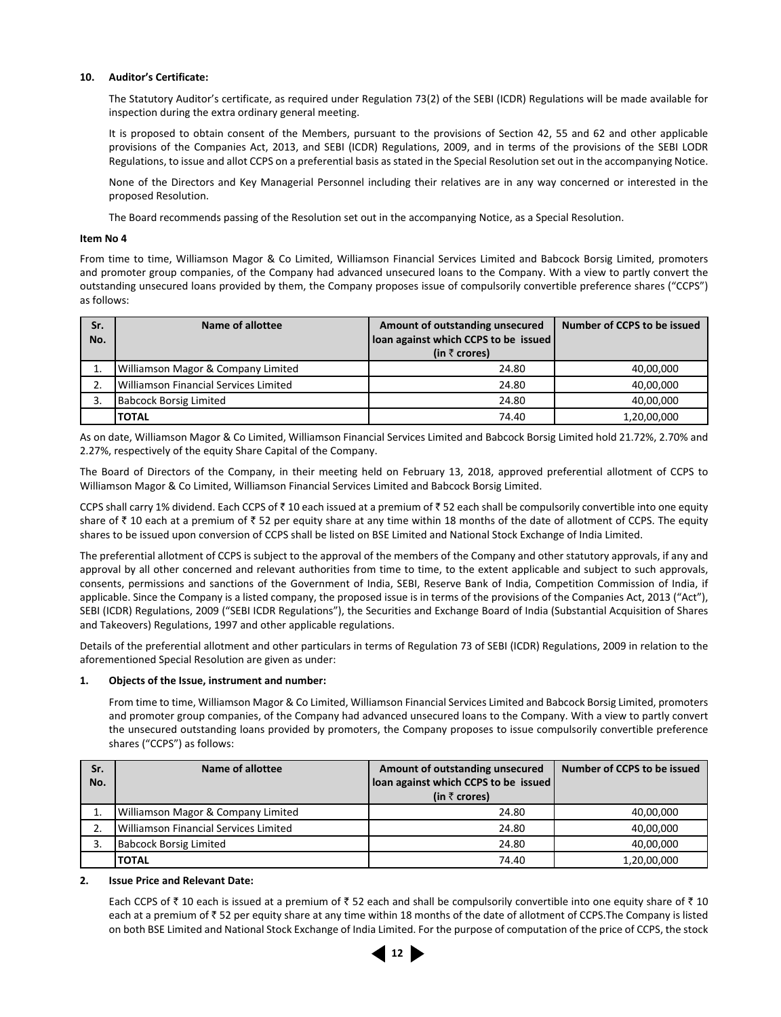#### **10. Auditor's Certificate:**

 The Statutory Auditor's certificate, as required under Regulation 73(2) of the SEBI (ICDR) Regulations will be made available for inspection during the extra ordinary general meeting.

 It is proposed to obtain consent of the Members, pursuant to the provisions of Section 42, 55 and 62 and other applicable provisions of the Companies Act, 2013, and SEBI (ICDR) Regulations, 2009, and in terms of the provisions of the SEBI LODR Regulations, to issue and allot CCPS on a preferential basis as stated in the Special Resolution set out in the accompanying Notice.

 None of the Directors and Key Managerial Personnel including their relatives are in any way concerned or interested in the proposed Resolution.

The Board recommends passing of the Resolution set out in the accompanying Notice, as a Special Resolution.

#### **Item No 4**

From time to time, Williamson Magor & Co Limited, Williamson Financial Services Limited and Babcock Borsig Limited, promoters and promoter group companies, of the Company had advanced unsecured loans to the Company. With a view to partly convert the outstanding unsecured loans provided by them, the Company proposes issue of compulsorily convertible preference shares ("CCPS") as follows:

| Sr.<br>No. | Name of allottee                              | Amount of outstanding unsecured<br>loan against which CCPS to be issued<br>(in $\bar{\tau}$ crores) | Number of CCPS to be issued |  |
|------------|-----------------------------------------------|-----------------------------------------------------------------------------------------------------|-----------------------------|--|
|            | <b>Williamson Magor &amp; Company Limited</b> | 24.80                                                                                               | 40,00,000                   |  |
|            | Williamson Financial Services Limited         | 24.80                                                                                               | 40,00,000                   |  |
|            | <b>Babcock Borsig Limited</b>                 | 24.80                                                                                               | 40,00,000                   |  |
|            | <b>TOTAL</b>                                  | 74.40                                                                                               | 1.20.00.000                 |  |

As on date, Williamson Magor & Co Limited, Williamson Financial Services Limited and Babcock Borsig Limited hold 21.72%, 2.70% and 2.27%, respectively of the equity Share Capital of the Company.

The Board of Directors of the Company, in their meeting held on February 13, 2018, approved preferential allotment of CCPS to Williamson Magor & Co Limited, Williamson Financial Services Limited and Babcock Borsig Limited.

CCPS shall carry 1% dividend. Each CCPS of  $\bar{\tau}$  10 each issued at a premium of  $\bar{\tau}$  52 each shall be compulsorily convertible into one equity share of  $\bar{\tau}$  10 each at a premium of  $\bar{\tau}$  52 per equity share at any time within 18 months of the date of allotment of CCPS. The equity shares to be issued upon conversion of CCPS shall be listed on BSE Limited and National Stock Exchange of India Limited.

The preferential allotment of CCPS is subject to the approval of the members of the Company and other statutory approvals, if any and approval by all other concerned and relevant authorities from time to time, to the extent applicable and subject to such approvals, consents, permissions and sanctions of the Government of India, SEBI, Reserve Bank of India, Competition Commission of India, if applicable. Since the Company is a listed company, the proposed issue is in terms of the provisions of the Companies Act, 2013 ("Act"), SEBI (ICDR) Regulations, 2009 ("SEBI ICDR Regulations"), the Securities and Exchange Board of India (Substantial Acquisition of Shares and Takeovers) Regulations, 1997 and other applicable regulations.

Details of the preferential allotment and other particulars in terms of Regulation 73 of SEBI (ICDR) Regulations, 2009 in relation to the aforementioned Special Resolution are given as under:

#### **1. Objects of the Issue, instrument and number:**

 From time to time, Williamson Magor & Co Limited, Williamson Financial Services Limited and Babcock Borsig Limited, promoters and promoter group companies, of the Company had advanced unsecured loans to the Company. With a view to partly convert the unsecured outstanding loans provided by promoters, the Company proposes to issue compulsorily convertible preference shares ("CCPS") as follows:

| Sr. | Name of allottee                      | Amount of outstanding unsecured      | Number of CCPS to be issued |  |
|-----|---------------------------------------|--------------------------------------|-----------------------------|--|
| No. |                                       | loan against which CCPS to be issued |                             |  |
|     |                                       | (in $\bar{\tau}$ crores)             |                             |  |
|     | Williamson Magor & Company Limited    | 24.80                                | 40,00,000                   |  |
| 2.  | Williamson Financial Services Limited | 24.80                                | 40,00,000                   |  |
|     | <b>Babcock Borsig Limited</b>         | 24.80                                |                             |  |
|     | <b>TOTAL</b>                          | 74.40                                | 1,20,00,000                 |  |

#### **2. Issue Price and Relevant Date:**

Each CCPS of  $\bar{\tau}$  10 each is issued at a premium of  $\bar{\tau}$  52 each and shall be compulsorily convertible into one equity share of  $\bar{\tau}$  10 each at a premium of  $\bar{\tau}$  52 per equity share at any time within 18 months of the date of allotment of CCPS. The Company is listed on both BSE Limited and National Stock Exchange of India Limited. For the purpose of computation of the price of CCPS, the stock

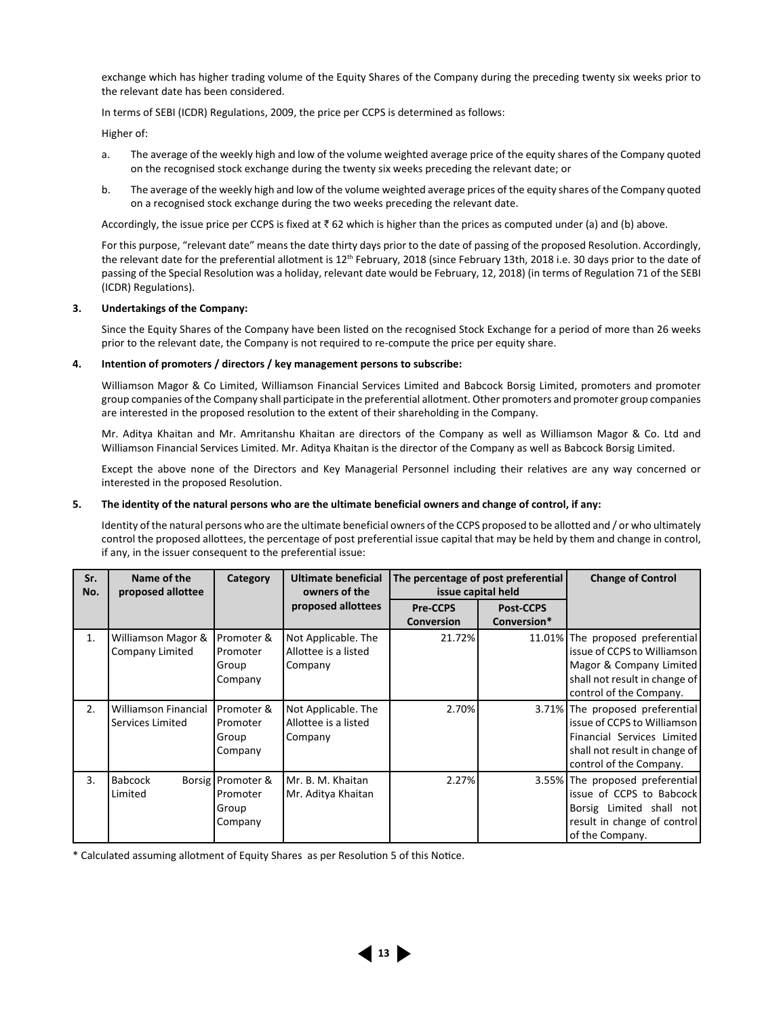exchange which has higher trading volume of the Equity Shares of the Company during the preceding twenty six weeks prior to the relevant date has been considered.

In terms of SEBI (ICDR) Regulations, 2009, the price per CCPS is determined as follows:

Higher of:

- a. The average of the weekly high and low of the volume weighted average price of the equity shares of the Company quoted on the recognised stock exchange during the twenty six weeks preceding the relevant date; or
- b. The average of the weekly high and low of the volume weighted average prices of the equity shares of the Company quoted on a recognised stock exchange during the two weeks preceding the relevant date.

Accordingly, the issue price per CCPS is fixed at  $\bar{z}$  62 which is higher than the prices as computed under (a) and (b) above.

 For this purpose, "relevant date" means the date thirty days prior to the date of passing of the proposed Resolution. Accordingly, the relevant date for the preferential allotment is 12<sup>th</sup> February, 2018 (since February 13th, 2018 i.e. 30 days prior to the date of passing of the Special Resolution was a holiday, relevant date would be February, 12, 2018) (in terms of Regulation 71 of the SEBI (ICDR) Regulations).

#### **3. Undertakings of the Company:**

 Since the Equity Shares of the Company have been listed on the recognised Stock Exchange for a period of more than 26 weeks prior to the relevant date, the Company is not required to re-compute the price per equity share.

#### **4. Intention of promoters / directors / key management persons to subscribe:**

 Williamson Magor & Co Limited, Williamson Financial Services Limited and Babcock Borsig Limited, promoters and promoter group companies of the Company shall participate in the preferential allotment. Other promoters and promoter group companies are interested in the proposed resolution to the extent of their shareholding in the Company.

 Mr. Aditya Khaitan and Mr. Amritanshu Khaitan are directors of the Company as well as Williamson Magor & Co. Ltd and Williamson Financial Services Limited. Mr. Aditya Khaitan is the director of the Company as well as Babcock Borsig Limited.

 Except the above none of the Directors and Key Managerial Personnel including their relatives are any way concerned or interested in the proposed Resolution.

#### **5. The identity of the natural persons who are the ultimate beneficial owners and change of control, if any:**

 Identity of the natural persons who are the ultimate beneficial owners of the CCPS proposed to be allotted and / or who ultimately control the proposed allottees, the percentage of post preferential issue capital that may be held by them and change in control, if any, in the issuer consequent to the preferential issue:

| Sr.<br>No. | Name of the<br>proposed allottee                | Category                                            | <b>Ultimate beneficial</b><br>owners of the            | The percentage of post preferential<br>issue capital held |                  | <b>Change of Control</b>                                                                                                                                 |
|------------|-------------------------------------------------|-----------------------------------------------------|--------------------------------------------------------|-----------------------------------------------------------|------------------|----------------------------------------------------------------------------------------------------------------------------------------------------------|
|            |                                                 |                                                     | proposed allottees                                     | <b>Pre-CCPS</b>                                           | <b>Post-CCPS</b> |                                                                                                                                                          |
|            |                                                 |                                                     |                                                        | <b>Conversion</b>                                         | Conversion*      |                                                                                                                                                          |
| 1.         | Williamson Magor &<br>Company Limited           | Promoter &<br>Promoter<br>Group<br>Company          | Not Applicable. The<br>Allottee is a listed<br>Company | 21.72%                                                    |                  | 11.01% The proposed preferential<br>issue of CCPS to Williamson<br>Magor & Company Limited<br>shall not result in change of<br>control of the Company.   |
| 2.         | <b>Williamson Financial</b><br>Services Limited | Promoter &<br>Promoter<br>Group<br>Company          | Not Applicable. The<br>Allottee is a listed<br>Company | 2.70%                                                     |                  | 3.71% The proposed preferential<br>issue of CCPS to Williamson<br>Financial Services Limited<br>shall not result in change of<br>control of the Company. |
| 3.         | <b>Babcock</b><br>Limited                       | Borsig   Promoter &<br>Promoter<br>Group<br>Company | Mr. B. M. Khaitan<br>Mr. Aditya Khaitan                | 2.27%                                                     |                  | 3.55% The proposed preferential<br>issue of CCPS to Babcock<br>Borsig Limited shall not<br>result in change of control<br>of the Company.                |

\* Calculated assuming allotment of Equity Shares as per Resolution 5 of this Notice.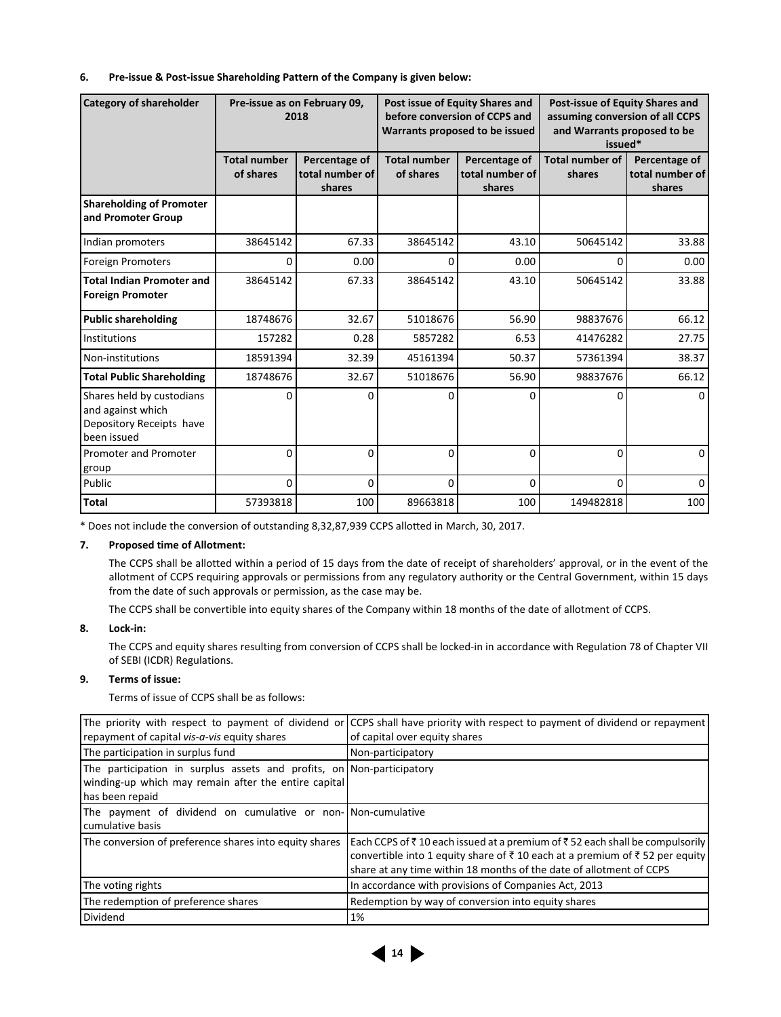#### **6. Pre-issue & Post-issue Shareholding Pattern of the Company is given below:**

| <b>Category of shareholder</b>                                                            |                                  | Pre-issue as on February 09,<br>2018       | Post issue of Equity Shares and<br>before conversion of CCPS and<br>Warrants proposed to be issued |                                            | Post-issue of Equity Shares and<br>assuming conversion of all CCPS<br>and Warrants proposed to be<br>issued* |                                            |  |
|-------------------------------------------------------------------------------------------|----------------------------------|--------------------------------------------|----------------------------------------------------------------------------------------------------|--------------------------------------------|--------------------------------------------------------------------------------------------------------------|--------------------------------------------|--|
|                                                                                           | <b>Total number</b><br>of shares | Percentage of<br>total number of<br>shares | <b>Total number</b><br>of shares                                                                   | Percentage of<br>total number of<br>shares | <b>Total number of</b><br>shares                                                                             | Percentage of<br>total number of<br>shares |  |
| <b>Shareholding of Promoter</b><br>and Promoter Group                                     |                                  |                                            |                                                                                                    |                                            |                                                                                                              |                                            |  |
| Indian promoters                                                                          | 38645142                         | 67.33                                      | 38645142                                                                                           | 43.10                                      | 50645142                                                                                                     | 33.88                                      |  |
| <b>Foreign Promoters</b>                                                                  | $\Omega$                         | 0.00                                       | 0                                                                                                  | 0.00                                       | 0                                                                                                            | 0.00                                       |  |
| <b>Total Indian Promoter and</b><br><b>Foreign Promoter</b>                               | 38645142                         | 67.33                                      | 38645142                                                                                           | 43.10                                      | 50645142                                                                                                     | 33.88                                      |  |
| <b>Public shareholding</b>                                                                | 18748676                         | 32.67                                      | 51018676                                                                                           | 56.90                                      | 98837676                                                                                                     | 66.12                                      |  |
| <b>Institutions</b>                                                                       | 157282                           | 0.28                                       | 5857282                                                                                            | 6.53                                       | 41476282                                                                                                     | 27.75                                      |  |
| Non-institutions                                                                          | 18591394                         | 32.39                                      | 45161394                                                                                           | 50.37                                      | 57361394                                                                                                     | 38.37                                      |  |
| <b>Total Public Shareholding</b>                                                          | 18748676                         | 32.67                                      | 51018676                                                                                           | 56.90                                      | 98837676                                                                                                     | 66.12                                      |  |
| Shares held by custodians<br>and against which<br>Depository Receipts have<br>been issued | 0                                | 0                                          | 0                                                                                                  | 0                                          | 0                                                                                                            | $\Omega$                                   |  |
| <b>Promoter and Promoter</b><br>group                                                     | $\Omega$                         | $\Omega$                                   | $\mathbf 0$                                                                                        | $\Omega$                                   | 0                                                                                                            | $\Omega$                                   |  |
| Public                                                                                    | $\Omega$                         | $\Omega$                                   | 0                                                                                                  | $\Omega$                                   | $\Omega$                                                                                                     | $\Omega$                                   |  |
| <b>Total</b>                                                                              | 57393818                         | 100                                        | 89663818                                                                                           | 100                                        | 149482818                                                                                                    | 100                                        |  |

\* Does not include the conversion of outstanding 8,32,87,939 CCPS allotted in March, 30, 2017.

### **7. Proposed time of Allotment:**

 The CCPS shall be allotted within a period of 15 days from the date of receipt of shareholders' approval, or in the event of the allotment of CCPS requiring approvals or permissions from any regulatory authority or the Central Government, within 15 days from the date of such approvals or permission, as the case may be.

The CCPS shall be convertible into equity shares of the Company within 18 months of the date of allotment of CCPS.

#### **8. Lock-in:**

 The CCPS and equity shares resulting from conversion of CCPS shall be locked-in in accordance with Regulation 78 of Chapter VII of SEBI (ICDR) Regulations.

## **9. Terms of issue:**

Terms of issue of CCPS shall be as follows:

| repayment of capital vis-a-vis equity shares                                                                                                     | The priority with respect to payment of dividend or CCPS shall have priority with respect to payment of dividend or repayment<br>of capital over equity shares                                                                   |
|--------------------------------------------------------------------------------------------------------------------------------------------------|----------------------------------------------------------------------------------------------------------------------------------------------------------------------------------------------------------------------------------|
| The participation in surplus fund                                                                                                                | Non-participatory                                                                                                                                                                                                                |
| The participation in surplus assets and profits, on Non-participatory<br>winding-up which may remain after the entire capital<br>has been repaid |                                                                                                                                                                                                                                  |
| The payment of dividend on cumulative or non-Non-cumulative<br>cumulative basis                                                                  |                                                                                                                                                                                                                                  |
| The conversion of preference shares into equity shares                                                                                           | Each CCPS of ₹10 each issued at a premium of ₹52 each shall be compulsorily<br>convertible into 1 equity share of ₹10 each at a premium of ₹52 per equity<br>share at any time within 18 months of the date of allotment of CCPS |
| The voting rights                                                                                                                                | In accordance with provisions of Companies Act, 2013                                                                                                                                                                             |
| The redemption of preference shares                                                                                                              | Redemption by way of conversion into equity shares                                                                                                                                                                               |
| Dividend                                                                                                                                         | 1%                                                                                                                                                                                                                               |

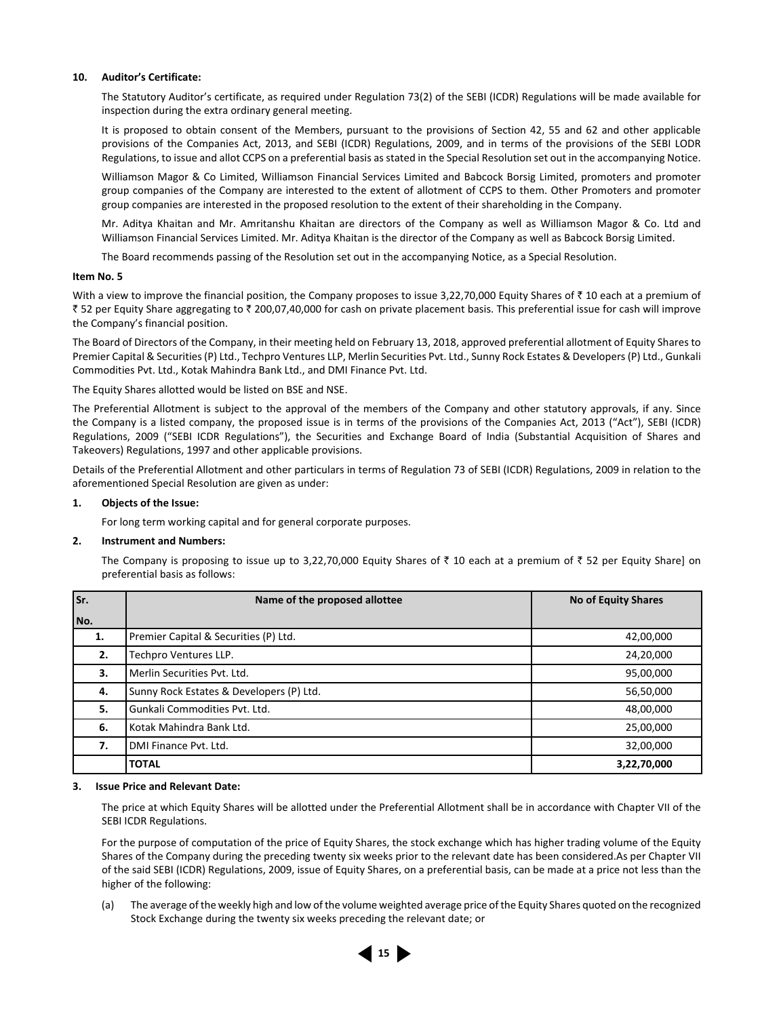#### **10. Auditor's Certificate:**

 The Statutory Auditor's certificate, as required under Regulation 73(2) of the SEBI (ICDR) Regulations will be made available for inspection during the extra ordinary general meeting.

It is proposed to obtain consent of the Members, pursuant to the provisions of Section 42, 55 and 62 and other applicable provisions of the Companies Act, 2013, and SEBI (ICDR) Regulations, 2009, and in terms of the provisions of the SEBI LODR Regulations, to issue and allot CCPS on a preferential basis as stated in the Special Resolution set out in the accompanying Notice.

 Williamson Magor & Co Limited, Williamson Financial Services Limited and Babcock Borsig Limited, promoters and promoter group companies of the Company are interested to the extent of allotment of CCPS to them. Other Promoters and promoter group companies are interested in the proposed resolution to the extent of their shareholding in the Company.

 Mr. Aditya Khaitan and Mr. Amritanshu Khaitan are directors of the Company as well as Williamson Magor & Co. Ltd and Williamson Financial Services Limited. Mr. Aditya Khaitan is the director of the Company as well as Babcock Borsig Limited.

The Board recommends passing of the Resolution set out in the accompanying Notice, as a Special Resolution.

#### **Item No. 5**

With a view to improve the financial position, the Company proposes to issue 3,22,70,000 Equity Shares of  $\bar{\tau}$  10 each at a premium of ` 52 per Equity Share aggregating to ` 200,07,40,000 for cash on private placement basis. This preferential issue for cash will improve the Company's financial position.

The Board of Directors of the Company, in their meeting held on February 13, 2018, approved preferential allotment of Equity Shares to Premier Capital & Securities (P) Ltd., Techpro Ventures LLP, Merlin Securities Pvt. Ltd., Sunny Rock Estates & Developers (P) Ltd., Gunkali Commodities Pvt. Ltd., Kotak Mahindra Bank Ltd., and DMI Finance Pvt. Ltd.

The Equity Shares allotted would be listed on BSE and NSE.

The Preferential Allotment is subject to the approval of the members of the Company and other statutory approvals, if any. Since the Company is a listed company, the proposed issue is in terms of the provisions of the Companies Act, 2013 ("Act"), SEBI (ICDR) Regulations, 2009 ("SEBI ICDR Regulations"), the Securities and Exchange Board of India (Substantial Acquisition of Shares and Takeovers) Regulations, 1997 and other applicable provisions.

Details of the Preferential Allotment and other particulars in terms of Regulation 73 of SEBI (ICDR) Regulations, 2009 in relation to the aforementioned Special Resolution are given as under:

#### **1. Objects of the Issue:**

For long term working capital and for general corporate purposes.

#### **2. Instrument and Numbers:**

The Company is proposing to issue up to 3,22,70,000 Equity Shares of  $\bar{\tau}$  10 each at a premium of  $\bar{\tau}$  52 per Equity Share] on preferential basis as follows:

| Sr. | Name of the proposed allottee            | <b>No of Equity Shares</b> |
|-----|------------------------------------------|----------------------------|
| No. |                                          |                            |
| 1.  | Premier Capital & Securities (P) Ltd.    | 42,00,000                  |
| 2.  | Techpro Ventures LLP.                    | 24,20,000                  |
| 3.  | Merlin Securities Pvt. Ltd.              | 95,00,000                  |
| 4.  | Sunny Rock Estates & Developers (P) Ltd. | 56,50,000                  |
| 5.  | Gunkali Commodities Pvt. Ltd.            | 48,00,000                  |
| 6.  | Kotak Mahindra Bank Ltd.                 | 25,00,000                  |
| 7.  | DMI Finance Pvt. Ltd.                    | 32,00,000                  |
|     | <b>TOTAL</b>                             | 3,22,70,000                |

#### **3. Issue Price and Relevant Date:**

 The price at which Equity Shares will be allotted under the Preferential Allotment shall be in accordance with Chapter VII of the SEBI ICDR Regulations.

 For the purpose of computation of the price of Equity Shares, the stock exchange which has higher trading volume of the Equity Shares of the Company during the preceding twenty six weeks prior to the relevant date has been considered.As per Chapter VII of the said SEBI (ICDR) Regulations, 2009, issue of Equity Shares, on a preferential basis, can be made at a price not less than the higher of the following:

 (a) The average of the weekly high and low of the volume weighted average price of the Equity Shares quoted on the recognized Stock Exchange during the twenty six weeks preceding the relevant date; or

**15**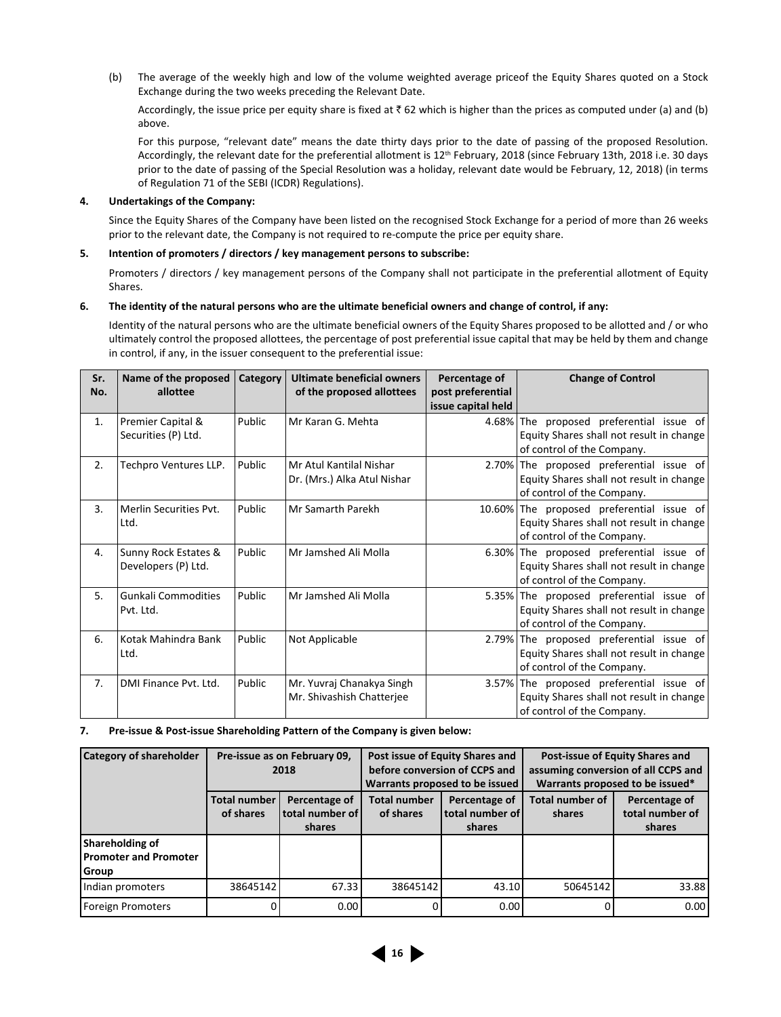(b) The average of the weekly high and low of the volume weighted average priceof the Equity Shares quoted on a Stock Exchange during the two weeks preceding the Relevant Date.

Accordingly, the issue price per equity share is fixed at  $\bar{z}$  62 which is higher than the prices as computed under (a) and (b) above.

 For this purpose, "relevant date" means the date thirty days prior to the date of passing of the proposed Resolution. Accordingly, the relevant date for the preferential allotment is 12<sup>th</sup> February, 2018 (since February 13th, 2018 i.e. 30 days prior to the date of passing of the Special Resolution was a holiday, relevant date would be February, 12, 2018) (in terms of Regulation 71 of the SEBI (ICDR) Regulations).

#### **4. Undertakings of the Company:**

 Since the Equity Shares of the Company have been listed on the recognised Stock Exchange for a period of more than 26 weeks prior to the relevant date, the Company is not required to re-compute the price per equity share.

#### **5. Intention of promoters / directors / key management persons to subscribe:**

 Promoters / directors / key management persons of the Company shall not participate in the preferential allotment of Equity Shares.

#### **6. The identity of the natural persons who are the ultimate beneficial owners and change of control, if any:**

 Identity of the natural persons who are the ultimate beneficial owners of the Equity Shares proposed to be allotted and / or who ultimately control the proposed allottees, the percentage of post preferential issue capital that may be held by them and change in control, if any, in the issuer consequent to the preferential issue:

| Sr.<br>No. | Name of the proposed<br>allottee            | Category | Ultimate beneficial owners<br>of the proposed allottees | Percentage of<br>post preferential<br>issue capital held | <b>Change of Control</b>                                                                                            |
|------------|---------------------------------------------|----------|---------------------------------------------------------|----------------------------------------------------------|---------------------------------------------------------------------------------------------------------------------|
| 1.         | Premier Capital &<br>Securities (P) Ltd.    | Public   | Mr Karan G. Mehta                                       |                                                          | 4.68% The proposed preferential issue of<br>Equity Shares shall not result in change<br>of control of the Company.  |
| 2.         | Techpro Ventures LLP.                       | Public   | Mr Atul Kantilal Nishar<br>Dr. (Mrs.) Alka Atul Nishar  |                                                          | 2.70% The proposed preferential issue of<br>Equity Shares shall not result in change<br>of control of the Company.  |
| 3.         | Merlin Securities Pyt.<br>Ltd.              | Public   | Mr Samarth Parekh                                       |                                                          | 10.60% The proposed preferential issue of<br>Equity Shares shall not result in change<br>of control of the Company. |
| 4.         | Sunny Rock Estates &<br>Developers (P) Ltd. | Public   | Mr Jamshed Ali Molla                                    | $6.30\%$                                                 | The proposed preferential issue of<br>Equity Shares shall not result in change<br>of control of the Company.        |
| 5.         | <b>Gunkali Commodities</b><br>Pvt. Ltd.     | Public   | Mr Jamshed Ali Molla                                    |                                                          | 5.35% The proposed preferential issue of<br>Equity Shares shall not result in change<br>of control of the Company.  |
| 6.         | Kotak Mahindra Bank<br>Ltd.                 | Public   | Not Applicable                                          |                                                          | 2.79% The proposed preferential issue of<br>Equity Shares shall not result in change<br>of control of the Company.  |
| 7.         | DMI Finance Pvt. Ltd.                       | Public   | Mr. Yuvraj Chanakya Singh<br>Mr. Shivashish Chatterjee  | 3.57%                                                    | The proposed preferential issue of<br>Equity Shares shall not result in change<br>of control of the Company.        |

**7. Pre-issue & Post-issue Shareholding Pattern of the Company is given below:** 

| <b>Category of shareholder</b>                    | Pre-issue as on February 09,<br>2018 |                                            |                                  | Post issue of Equity Shares and<br>before conversion of CCPS and<br>Warrants proposed to be issued | Post-issue of Equity Shares and<br>assuming conversion of all CCPS and<br>Warrants proposed to be issued* |                                            |
|---------------------------------------------------|--------------------------------------|--------------------------------------------|----------------------------------|----------------------------------------------------------------------------------------------------|-----------------------------------------------------------------------------------------------------------|--------------------------------------------|
|                                                   | <b>Total number</b><br>of shares     | Percentage of<br>total number of<br>shares | <b>Total number</b><br>of shares | Percentage of<br>l total number of l<br>shares                                                     | Total number of<br>shares                                                                                 | Percentage of<br>total number of<br>shares |
| Shareholding of<br>Promoter and Promoter<br>Group |                                      |                                            |                                  |                                                                                                    |                                                                                                           |                                            |
| Indian promoters                                  | 38645142                             | 67.33                                      | 38645142                         | 43.10                                                                                              | 50645142                                                                                                  | 33.88                                      |
| Foreign Promoters                                 |                                      | 0.00                                       | $\Omega$                         | 0.00                                                                                               |                                                                                                           | 0.00                                       |

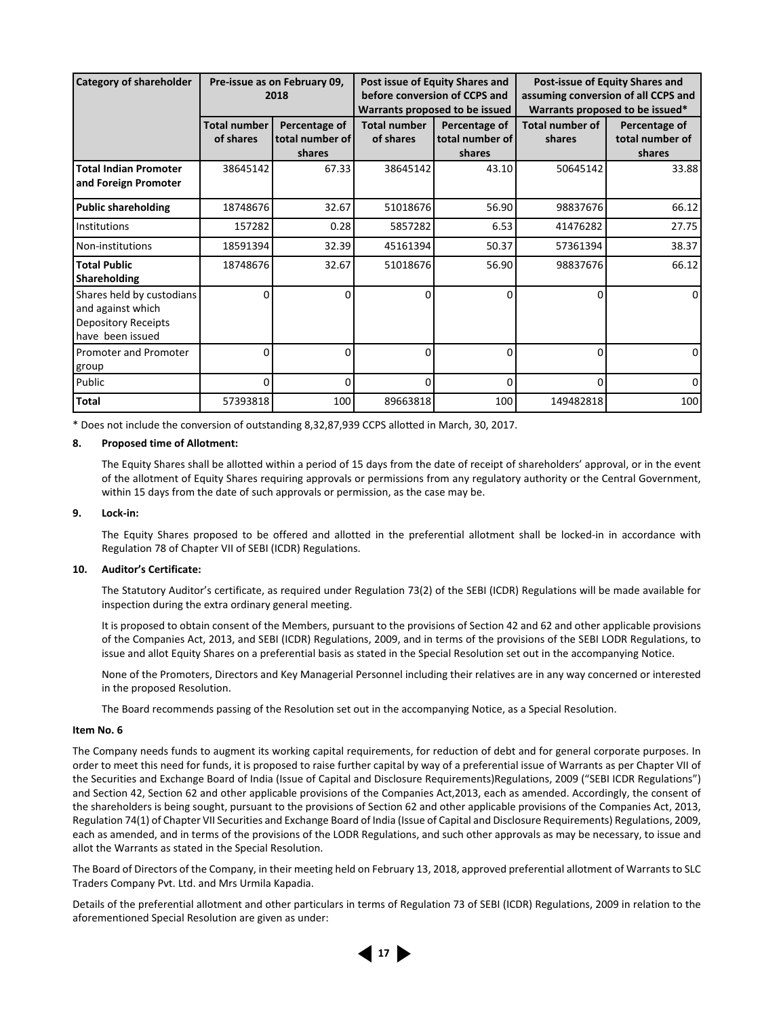| <b>Category of shareholder</b>                                                                   |                                  | Pre-issue as on February 09,<br>2018       |                                  | Post issue of Equity Shares and<br>before conversion of CCPS and<br>Warrants proposed to be issued | Post-issue of Equity Shares and<br>assuming conversion of all CCPS and<br>Warrants proposed to be issued* |                                            |  |
|--------------------------------------------------------------------------------------------------|----------------------------------|--------------------------------------------|----------------------------------|----------------------------------------------------------------------------------------------------|-----------------------------------------------------------------------------------------------------------|--------------------------------------------|--|
|                                                                                                  | <b>Total number</b><br>of shares | Percentage of<br>total number of<br>shares | <b>Total number</b><br>of shares | Percentage of<br>total number of<br>shares                                                         | Total number of<br>shares                                                                                 | Percentage of<br>total number of<br>shares |  |
| <b>Total Indian Promoter</b><br>and Foreign Promoter                                             | 38645142                         | 67.33                                      | 38645142                         | 43.10                                                                                              | 50645142                                                                                                  | 33.88                                      |  |
| <b>Public shareholding</b>                                                                       | 18748676                         | 32.67                                      | 51018676                         | 56.90                                                                                              | 98837676                                                                                                  | 66.12                                      |  |
| Institutions                                                                                     | 157282                           | 0.28                                       | 5857282                          | 6.53                                                                                               | 41476282                                                                                                  | 27.75                                      |  |
| Non-institutions                                                                                 | 18591394                         | 32.39                                      | 45161394                         | 50.37                                                                                              | 57361394                                                                                                  | 38.37                                      |  |
| <b>Total Public</b><br>Shareholding                                                              | 18748676                         | 32.67                                      | 51018676                         | 56.90                                                                                              | 98837676                                                                                                  | 66.12                                      |  |
| Shares held by custodians<br>and against which<br><b>Depository Receipts</b><br>have been issued | ŋ                                | $\Omega$                                   | $\Omega$                         | $\Omega$                                                                                           | 0                                                                                                         | $\Omega$                                   |  |
| Promoter and Promoter<br>group                                                                   | 0                                | $\Omega$                                   | $\mathbf 0$                      | 0                                                                                                  | 0                                                                                                         | $\Omega$                                   |  |
| Public                                                                                           | O                                | 0                                          | $\Omega$                         | 0                                                                                                  | $\Omega$                                                                                                  | $\Omega$                                   |  |
| <b>Total</b>                                                                                     | 57393818                         | 100                                        | 89663818                         | 100                                                                                                | 149482818                                                                                                 | 100                                        |  |

\* Does not include the conversion of outstanding 8,32,87,939 CCPS alloƩ ed in March, 30, 2017.

#### **8. Proposed time of Allotment:**

 The Equity Shares shall be allotted within a period of 15 days from the date of receipt of shareholders' approval, or in the event of the allotment of Equity Shares requiring approvals or permissions from any regulatory authority or the Central Government, within 15 days from the date of such approvals or permission, as the case may be.

#### **9. Lock-in:**

 The Equity Shares proposed to be offered and allotted in the preferential allotment shall be locked-in in accordance with Regulation 78 of Chapter VII of SEBI (ICDR) Regulations.

#### **10. Auditor's Certificate:**

 The Statutory Auditor's certificate, as required under Regulation 73(2) of the SEBI (ICDR) Regulations will be made available for inspection during the extra ordinary general meeting.

 It is proposed to obtain consent of the Members, pursuant to the provisions of Section 42 and 62 and other applicable provisions of the Companies Act, 2013, and SEBI (ICDR) Regulations, 2009, and in terms of the provisions of the SEBI LODR Regulations, to issue and allot Equity Shares on a preferential basis as stated in the Special Resolution set out in the accompanying Notice.

 None of the Promoters, Directors and Key Managerial Personnel including their relatives are in any way concerned or interested in the proposed Resolution.

The Board recommends passing of the Resolution set out in the accompanying Notice, as a Special Resolution.

#### **Item No. 6**

The Company needs funds to augment its working capital requirements, for reduction of debt and for general corporate purposes. In order to meet this need for funds, it is proposed to raise further capital by way of a preferential issue of Warrants as per Chapter VII of the Securities and Exchange Board of India (Issue of Capital and Disclosure Requirements)Regulations, 2009 ("SEBI ICDR Regulations") and Section 42, Section 62 and other applicable provisions of the Companies Act,2013, each as amended. Accordingly, the consent of the shareholders is being sought, pursuant to the provisions of Section 62 and other applicable provisions of the Companies Act, 2013, Regulation 74(1) of Chapter VII Securities and Exchange Board of India (Issue of Capital and Disclosure Requirements) Regulations, 2009, each as amended, and in terms of the provisions of the LODR Regulations, and such other approvals as may be necessary, to issue and allot the Warrants as stated in the Special Resolution.

The Board of Directors of the Company, in their meeting held on February 13, 2018, approved preferential allotment of Warrants to SLC Traders Company Pvt. Ltd. and Mrs Urmila Kapadia.

Details of the preferential allotment and other particulars in terms of Regulation 73 of SEBI (ICDR) Regulations, 2009 in relation to the aforementioned Special Resolution are given as under:

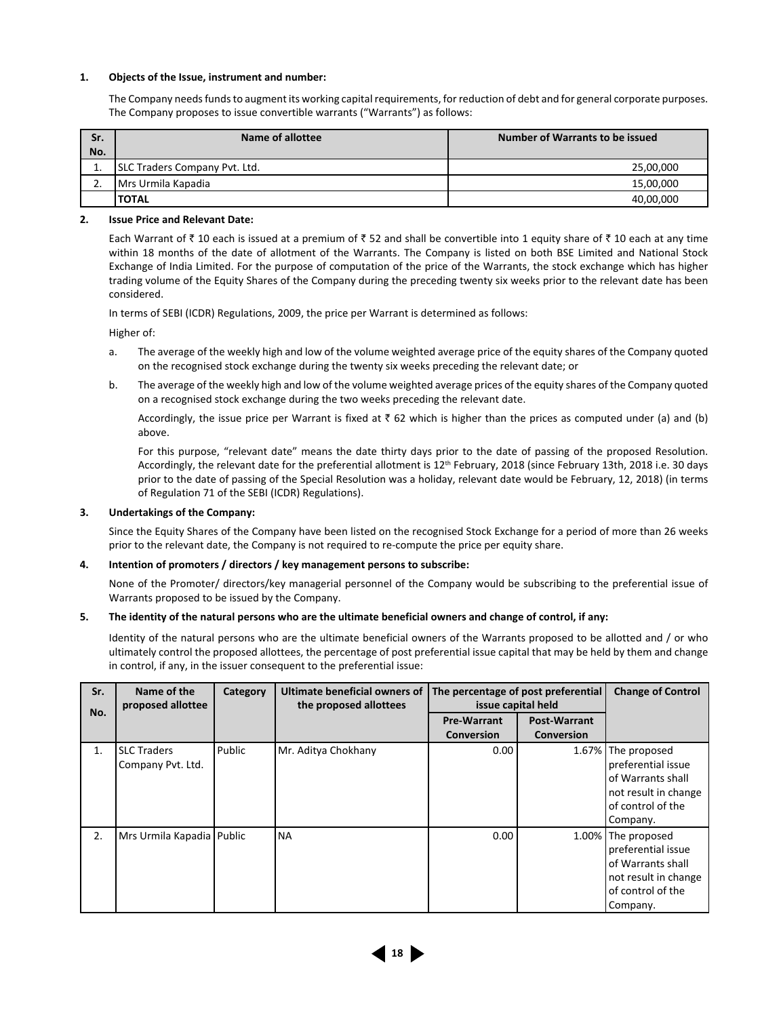#### **1. Objects of the Issue, instrument and number:**

 The Company needs funds to augment its working capital requirements, for reduction of debt and for general corporate purposes. The Company proposes to issue convertible warrants ("Warrants") as follows:

| Sr.      | Name of allottee              | Number of Warrants to be issued |  |  |
|----------|-------------------------------|---------------------------------|--|--|
| No.      |                               |                                 |  |  |
|          | SLC Traders Company Pvt. Ltd. | 25,00,000                       |  |  |
| <u>.</u> | Mrs Urmila Kapadia            | 15,00,000                       |  |  |
|          | <b>TOTAL</b>                  | 40,00,000                       |  |  |

#### **2. Issue Price and Relevant Date:**

Each Warrant of  $\bar{\tau}$  10 each is issued at a premium of  $\bar{\tau}$  52 and shall be convertible into 1 equity share of  $\bar{\tau}$  10 each at any time within 18 months of the date of allotment of the Warrants. The Company is listed on both BSE Limited and National Stock Exchange of India Limited. For the purpose of computation of the price of the Warrants, the stock exchange which has higher trading volume of the Equity Shares of the Company during the preceding twenty six weeks prior to the relevant date has been considered.

In terms of SEBI (ICDR) Regulations, 2009, the price per Warrant is determined as follows:

Higher of:

- a. The average of the weekly high and low of the volume weighted average price of the equity shares of the Company quoted on the recognised stock exchange during the twenty six weeks preceding the relevant date; or
- b. The average of the weekly high and low of the volume weighted average prices of the equity shares of the Company quoted on a recognised stock exchange during the two weeks preceding the relevant date.

Accordingly, the issue price per Warrant is fixed at  $\bar{z}$  62 which is higher than the prices as computed under (a) and (b) above.

 For this purpose, "relevant date" means the date thirty days prior to the date of passing of the proposed Resolution. Accordingly, the relevant date for the preferential allotment is 12<sup>th</sup> February, 2018 (since February 13th, 2018 i.e. 30 days prior to the date of passing of the Special Resolution was a holiday, relevant date would be February, 12, 2018) (in terms of Regulation 71 of the SEBI (ICDR) Regulations).

#### **3. Undertakings of the Company:**

 Since the Equity Shares of the Company have been listed on the recognised Stock Exchange for a period of more than 26 weeks prior to the relevant date, the Company is not required to re-compute the price per equity share.

#### **4. Intention of promoters / directors / key management persons to subscribe:**

 None of the Promoter/ directors/key managerial personnel of the Company would be subscribing to the preferential issue of Warrants proposed to be issued by the Company.

#### **5. The identity of the natural persons who are the ultimate beneficial owners and change of control, if any:**

 Identity of the natural persons who are the ultimate beneficial owners of the Warrants proposed to be allotted and / or who ultimately control the proposed allottees, the percentage of post preferential issue capital that may be held by them and change in control, if any, in the issuer consequent to the preferential issue:

| Sr.<br>No. | Name of the<br>proposed allottee        | Category | Ultimate beneficial owners of<br>the proposed allottees | The percentage of post preferential<br>issue capital held |                                   | <b>Change of Control</b>                                                                                               |
|------------|-----------------------------------------|----------|---------------------------------------------------------|-----------------------------------------------------------|-----------------------------------|------------------------------------------------------------------------------------------------------------------------|
|            |                                         |          |                                                         | <b>Pre-Warrant</b><br><b>Conversion</b>                   | Post-Warrant<br><b>Conversion</b> |                                                                                                                        |
| 1.         | <b>SLC Traders</b><br>Company Pvt. Ltd. | Public   | Mr. Aditya Chokhany                                     | 0.00                                                      |                                   | 1.67% The proposed<br>preferential issue<br>of Warrants shall<br>not result in change<br>of control of the<br>Company. |
| 2.         | Mrs Urmila Kapadia   Public             |          | <b>NA</b>                                               | 0.00                                                      |                                   | 1.00% The proposed<br>preferential issue<br>of Warrants shall<br>not result in change<br>of control of the<br>Company. |

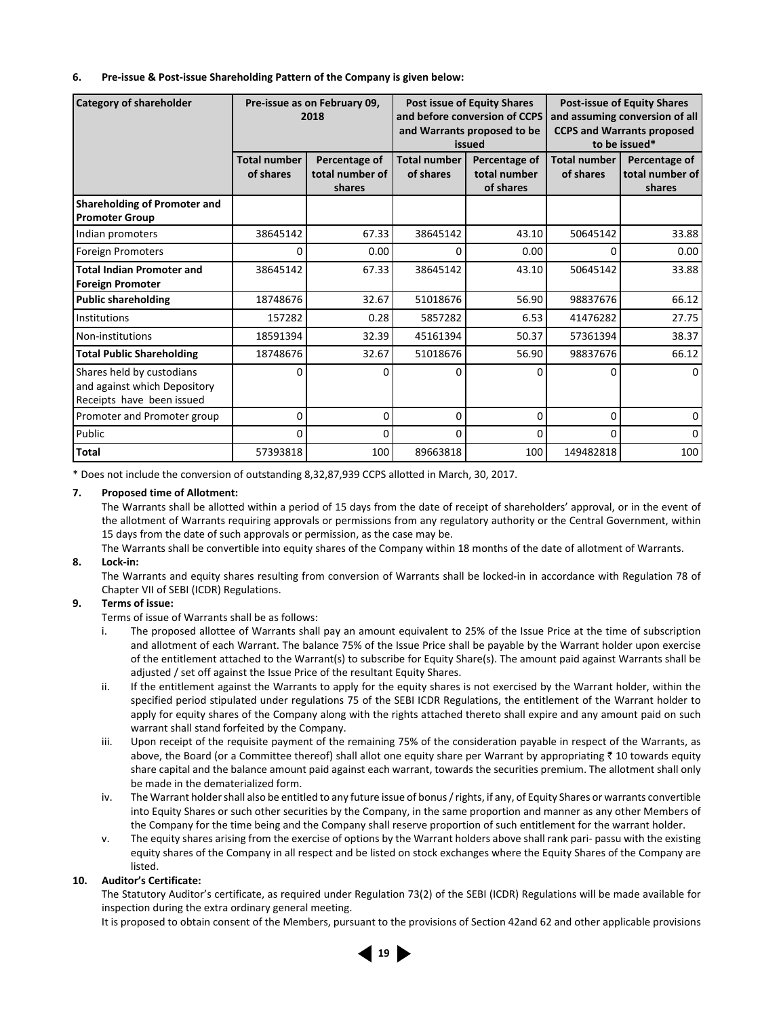#### **6. Pre-issue & Post-issue Shareholding Pattern of the Company is given below:**

| <b>Category of shareholder</b>                                                         | Pre-issue as on February 09,<br>2018 |                                            |                                  | <b>Post issue of Equity Shares</b><br>and before conversion of CCPS<br>and Warrants proposed to be<br>issued | <b>Post-issue of Equity Shares</b><br>and assuming conversion of all<br><b>CCPS and Warrants proposed</b><br>to be issued* |                                            |
|----------------------------------------------------------------------------------------|--------------------------------------|--------------------------------------------|----------------------------------|--------------------------------------------------------------------------------------------------------------|----------------------------------------------------------------------------------------------------------------------------|--------------------------------------------|
|                                                                                        | <b>Total number</b><br>of shares     | Percentage of<br>total number of<br>shares | <b>Total number</b><br>of shares | Percentage of<br>total number<br>of shares                                                                   | <b>Total number</b><br>of shares                                                                                           | Percentage of<br>total number of<br>shares |
| Shareholding of Promoter and<br><b>Promoter Group</b>                                  |                                      |                                            |                                  |                                                                                                              |                                                                                                                            |                                            |
| Indian promoters                                                                       | 38645142                             | 67.33                                      | 38645142                         | 43.10                                                                                                        | 50645142                                                                                                                   | 33.88                                      |
| <b>Foreign Promoters</b>                                                               | O                                    | 0.00                                       | 0                                | 0.00                                                                                                         | 0                                                                                                                          | 0.00                                       |
| <b>Total Indian Promoter and</b><br><b>Foreign Promoter</b>                            | 38645142                             | 67.33                                      | 38645142                         | 43.10                                                                                                        | 50645142                                                                                                                   | 33.88                                      |
| <b>Public shareholding</b>                                                             | 18748676                             | 32.67                                      | 51018676                         | 56.90                                                                                                        | 98837676                                                                                                                   | 66.12                                      |
| Institutions                                                                           | 157282                               | 0.28                                       | 5857282                          | 6.53                                                                                                         | 41476282                                                                                                                   | 27.75                                      |
| Non-institutions                                                                       | 18591394                             | 32.39                                      | 45161394                         | 50.37                                                                                                        | 57361394                                                                                                                   | 38.37                                      |
| <b>Total Public Shareholding</b>                                                       | 18748676                             | 32.67                                      | 51018676                         | 56.90                                                                                                        | 98837676                                                                                                                   | 66.12                                      |
| Shares held by custodians<br>and against which Depository<br>Receipts have been issued | ი                                    | $\Omega$                                   | 0                                | $\Omega$                                                                                                     | $\Omega$                                                                                                                   | $\Omega$                                   |
| Promoter and Promoter group                                                            | 0                                    | 0                                          | $\Omega$                         | $\mathbf 0$                                                                                                  | 0                                                                                                                          | 0                                          |
| Public                                                                                 | O                                    | 0                                          | 0                                | 0                                                                                                            | $\Omega$                                                                                                                   | $\Omega$                                   |
| <b>Total</b>                                                                           | 57393818                             | 100                                        | 89663818                         | 100                                                                                                          | 149482818                                                                                                                  | 100                                        |

\* Does not include the conversion of outstanding 8,32,87,939 CCPS allotted in March, 30, 2017.

#### **7. Proposed time of Allotment:**

 The Warrants shall be allotted within a period of 15 days from the date of receipt of shareholders' approval, or in the event of the allotment of Warrants requiring approvals or permissions from any regulatory authority or the Central Government, within 15 days from the date of such approvals or permission, as the case may be.

 The Warrants shall be convertible into equity shares of the Company within 18 months of the date of allotment of Warrants. **8. Lock-in:** 

 The Warrants and equity shares resulting from conversion of Warrants shall be locked-in in accordance with Regulation 78 of Chapter VII of SEBI (ICDR) Regulations.

#### **9. Terms of issue:**

Terms of issue of Warrants shall be as follows:

- i. The proposed allottee of Warrants shall pay an amount equivalent to 25% of the Issue Price at the time of subscription and allotment of each Warrant. The balance 75% of the Issue Price shall be payable by the Warrant holder upon exercise of the entitlement attached to the Warrant(s) to subscribe for Equity Share(s). The amount paid against Warrants shall be adjusted / set off against the Issue Price of the resultant Equity Shares.
- ii. If the entitlement against the Warrants to apply for the equity shares is not exercised by the Warrant holder, within the specified period stipulated under regulations 75 of the SEBI ICDR Regulations, the entitlement of the Warrant holder to apply for equity shares of the Company along with the rights attached thereto shall expire and any amount paid on such warrant shall stand forfeited by the Company.
- iii. Upon receipt of the requisite payment of the remaining 75% of the consideration payable in respect of the Warrants, as above, the Board (or a Committee thereof) shall allot one equity share per Warrant by appropriating  $\bar{\tau}$  10 towards equity share capital and the balance amount paid against each warrant, towards the securities premium. The allotment shall only be made in the dematerialized form.
- iv. The Warrant holder shall also be entitled to any future issue of bonus / rights, if any, of Equity Shares or warrants convertible into Equity Shares or such other securities by the Company, in the same proportion and manner as any other Members of the Company for the time being and the Company shall reserve proportion of such entitlement for the warrant holder.
- v. The equity shares arising from the exercise of options by the Warrant holders above shall rank pari- passu with the existing equity shares of the Company in all respect and be listed on stock exchanges where the Equity Shares of the Company are listed.

#### **10. Auditor's Certificate:**

 The Statutory Auditor's certificate, as required under Regulation 73(2) of the SEBI (ICDR) Regulations will be made available for inspection during the extra ordinary general meeting.

It is proposed to obtain consent of the Members, pursuant to the provisions of Section 42and 62 and other applicable provisions

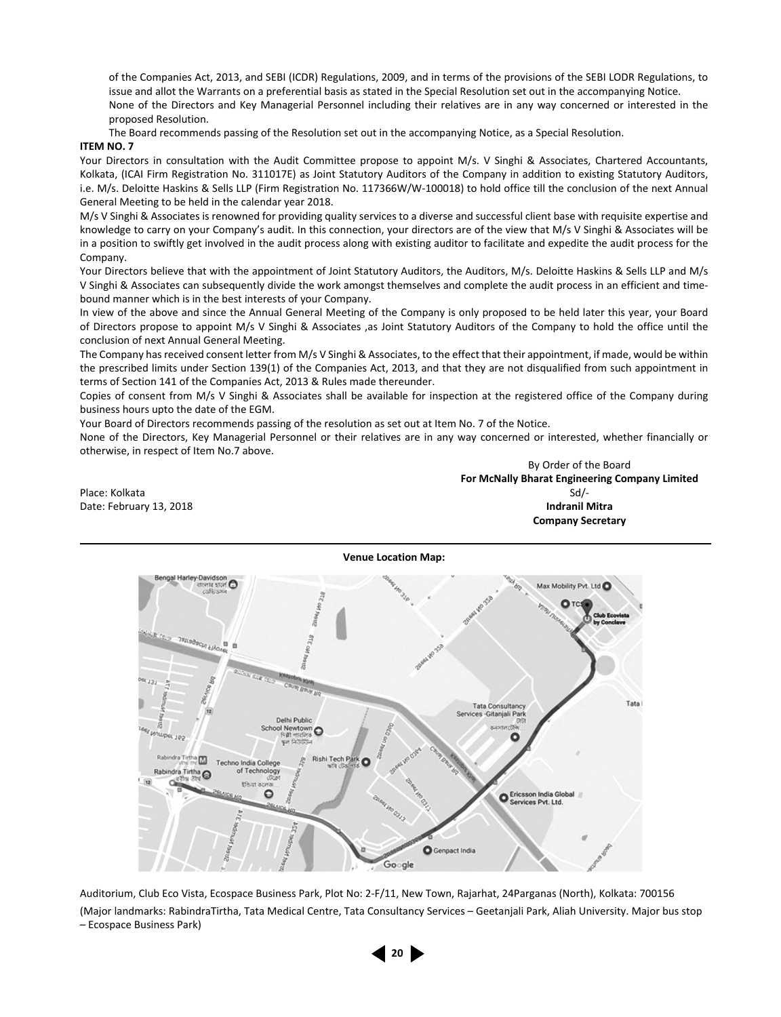of the Companies Act, 2013, and SEBI (ICDR) Regulations, 2009, and in terms of the provisions of the SEBI LODR Regulations, to issue and allot the Warrants on a preferential basis as stated in the Special Resolution set out in the accompanying Notice. None of the Directors and Key Managerial Personnel including their relatives are in any way concerned or interested in the proposed Resolution.

The Board recommends passing of the Resolution set out in the accompanying Notice, as a Special Resolution.

#### **ITEM NO. 7**

Your Directors in consultation with the Audit Committee propose to appoint M/s. V Singhi & Associates, Chartered Accountants, Kolkata, (ICAI Firm Registration No. 311017E) as Joint Statutory Auditors of the Company in addition to existing Statutory Auditors, i.e. M/s. Deloitte Haskins & Sells LLP (Firm Registration No. 117366W/W-100018) to hold office till the conclusion of the next Annual General Meeting to be held in the calendar year 2018.

M/s V Singhi & Associates is renowned for providing quality services to a diverse and successful client base with requisite expertise and knowledge to carry on your Company's audit. In this connection, your directors are of the view that M/s V Singhi & Associates will be in a position to swiftly get involved in the audit process along with existing auditor to facilitate and expedite the audit process for the Company

Your Directors believe that with the appointment of Joint Statutory Auditors, the Auditors, M/s. Deloitte Haskins & Sells LLP and M/s V Singhi & Associates can subsequently divide the work amongst themselves and complete the audit process in an efficient and timebound manner which is in the best interests of your Company.

In view of the above and since the Annual General Meeting of the Company is only proposed to be held later this year, your Board of Directors propose to appoint M/s V Singhi & Associates ,as Joint Statutory Auditors of the Company to hold the office until the conclusion of next Annual General Meeting.

The Company has received consent letter from M/s V Singhi & Associates, to the effect that their appointment, if made, would be within the prescribed limits under Section 139(1) of the Companies Act, 2013, and that they are not disqualified from such appointment in terms of Section 141 of the Companies Act, 2013 & Rules made thereunder.

Copies of consent from M/s V Singhi & Associates shall be available for inspection at the registered office of the Company during business hours upto the date of the EGM.

Your Board of Directors recommends passing of the resolution as set out at Item No. 7 of the Notice.

None of the Directors, Key Managerial Personnel or their relatives are in any way concerned or interested, whether financially or otherwise, in respect of Item No.7 above.

By Order of the Board **For McNally Bharat Engineering Company Limited** Place: Kolkata Sd/- Solomon School (Superior School (Superior School (Superior School (Superior School (Superior Date: February 13, 2018 **Indranil Mitra Company Secretary**



Auditorium, Club Eco Vista, Ecospace Business Park, Plot No: 2-F/11, New Town, Rajarhat, 24Parganas (North), Kolkata: 700156 (Major landmarks: RabindraTirtha, Tata Medical Centre, Tata Consultancy Services – Geetanjali Park, Aliah University. Major bus stop – Ecospace Business Park)

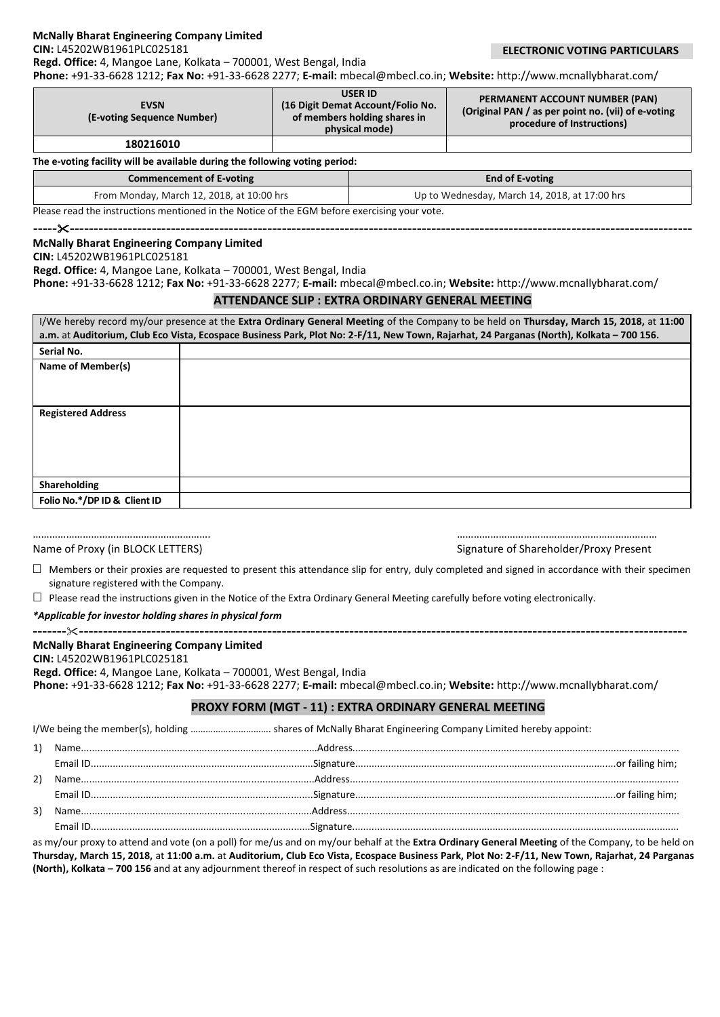#### **McNally Bharat Engineering Company Limited**

**CIN:** L45202WB1961PLC025181

 **ELECTRONIC VOTING PARTICULARS**

**Phone:** +91-33-6628 1212; **Fax No:** +91-33-6628 2277; **E-mail:** [mbecal@mbecl.co.in;](mailto:mbecal@mbecl.co.in) **Website:** <http://www.mcnallybharat.com/>

| <b>EVSN</b><br>(E-voting Sequence Number) | <b>USER ID</b><br>(16 Digit Demat Account/Folio No.)<br>of members holding shares in<br>physical mode) | PERMANENT ACCOUNT NUMBER (PAN)<br>(Original PAN / as per point no. (vii) of e-voting<br>procedure of Instructions) |
|-------------------------------------------|--------------------------------------------------------------------------------------------------------|--------------------------------------------------------------------------------------------------------------------|
| 180216010                                 |                                                                                                        |                                                                                                                    |

**The e-voting facility will be available during the following voting period:**

**Regd. Office:** 4, Mangoe Lane, Kolkata – 700001, West Bengal, India

| Commencement of E-voting                                                                     | End of E-voting                               |  |
|----------------------------------------------------------------------------------------------|-----------------------------------------------|--|
| From Monday, March 12, 2018, at 10:00 hrs                                                    | Up to Wednesday, March 14, 2018, at 17:00 hrs |  |
| Please read the instructions mentioned in the Notice of the FGM before exercising your vote. |                                               |  |

**--------------------------------------------------------------------------------------------------------------------------------------**

mentioned in the Notice of the EGI

## **McNally Bharat Engineering Company Limited**

## **CIN:** L45202WB1961PLC025181

**Regd. Office:** 4, Mangoe Lane, Kolkata – 700001, West Bengal, India

**Phone:** +91-33-6628 1212; **Fax No:** +91-33-6628 2277; **E-mail:** [mbecal@mbecl.co.in;](mailto:mbecal@mbecl.co.in) **Website:** <http://www.mcnallybharat.com/>

## **ATTENDANCE SLIP : EXTRA ORDINARY GENERAL MEETING**

| I/We hereby record my/our presence at the Extra Ordinary General Meeting of the Company to be held on Thursday, March 15, 2018, at 11:00<br>a.m. at Auditorium, Club Eco Vista, Ecospace Business Park, Plot No: 2-F/11, New Town, Rajarhat, 24 Parganas (North), Kolkata - 700 156. |  |  |  |  |  |  |
|--------------------------------------------------------------------------------------------------------------------------------------------------------------------------------------------------------------------------------------------------------------------------------------|--|--|--|--|--|--|
| Serial No.                                                                                                                                                                                                                                                                           |  |  |  |  |  |  |
| Name of Member(s)                                                                                                                                                                                                                                                                    |  |  |  |  |  |  |
|                                                                                                                                                                                                                                                                                      |  |  |  |  |  |  |
|                                                                                                                                                                                                                                                                                      |  |  |  |  |  |  |
| <b>Registered Address</b>                                                                                                                                                                                                                                                            |  |  |  |  |  |  |
|                                                                                                                                                                                                                                                                                      |  |  |  |  |  |  |
|                                                                                                                                                                                                                                                                                      |  |  |  |  |  |  |
|                                                                                                                                                                                                                                                                                      |  |  |  |  |  |  |
|                                                                                                                                                                                                                                                                                      |  |  |  |  |  |  |
| Shareholding                                                                                                                                                                                                                                                                         |  |  |  |  |  |  |
| Folio No.*/DP ID & Client ID                                                                                                                                                                                                                                                         |  |  |  |  |  |  |

# ………………………………………………………. ………………………………………………………………

Name of Proxy (in BLOCK LETTERS) Signature of Shareholder/Proxy Present

 $\Box$  Members or their proxies are requested to present this attendance slip for entry, duly completed and signed in accordance with their specimen signature registered with the Company.

 $\Box$  Please read the instructions given in the Notice of the Extra Ordinary General Meeting carefully before voting electronically.

*\*Applicable for investor holding shares in physical form*

### **------------------------------------------------------------------------------------------------------------------------------------- McNally Bharat Engineering Company Limited**

## **CIN:** L45202WB1961PLC025181

**Regd. Office:** 4, Mangoe Lane, Kolkata – 700001, West Bengal, India

**Phone:** +91-33-6628 1212; **Fax No:** +91-33-6628 2277; **E-mail:** [mbecal@mbecl.co.in;](mailto:mbecal@mbecl.co.in) **Website:** <http://www.mcnallybharat.com/>

## **PROXY FORM (MGT - 11) : EXTRA ORDINARY GENERAL MEETING**

I/We being the member(s), holding …………….……………. shares of McNally Bharat Engineering Company Limited hereby appoint:

| 1) |  |
|----|--|
|    |  |
| 2) |  |
|    |  |
| 3) |  |
|    |  |

as my/our proxy to attend and vote (on a poll) for me/us and on my/our behalf at the **Extra Ordinary General Meeting** of the Company, to be held on **Thursday, March 15, 2018,** at **11:00 a.m.** at **Auditorium, Club Eco Vista, Ecospace Business Park, Plot No: 2-F/11, New Town, Rajarhat, 24 Parganas (North), Kolkata – 700 156** and at any adjournment thereof in respect of such resolutions as are indicated on the following page :